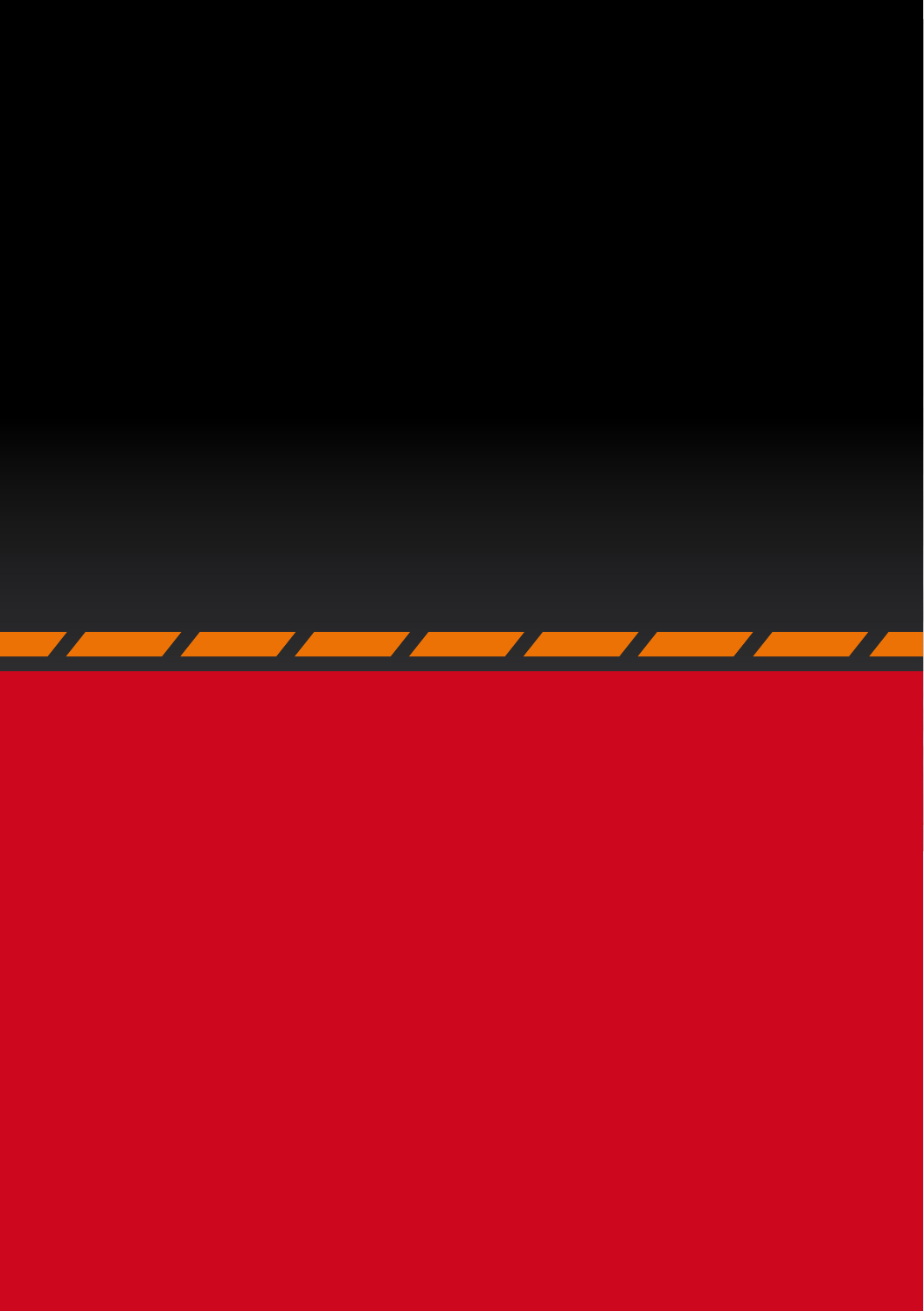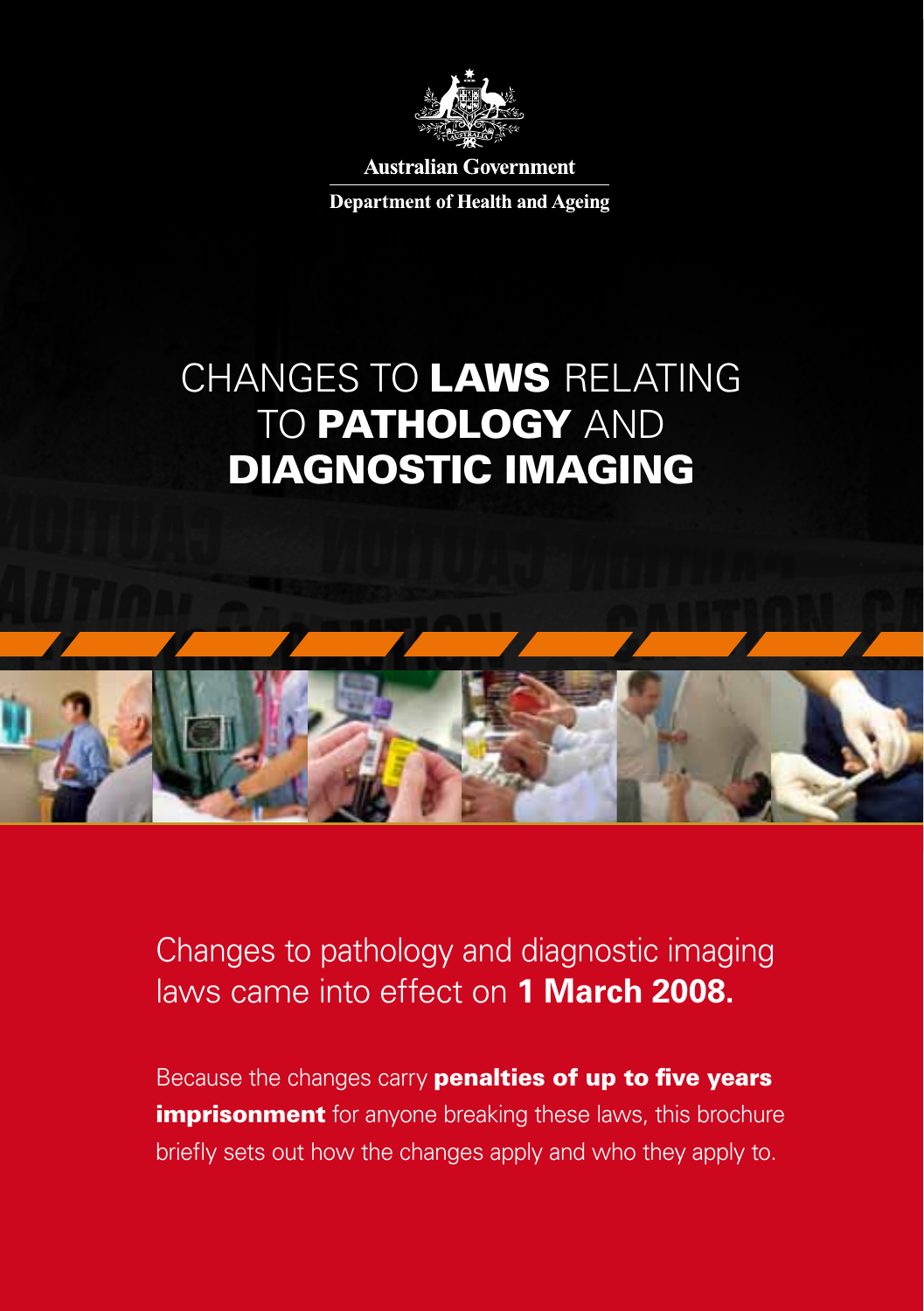

**Australian Government** 

**Department of Health and Ageing** 

# CHANGES TO LAWS RELATING TO PATHOLOGY AND DIAGNOSTIC IMAGING



Changes to pathology and diagnostic imaging laws came into effect on **1 March 2008.**

Because the changes carry penalties of up to five years **imprisonment** for anyone breaking these laws, this brochure briefly sets out how the changes apply and who they apply to.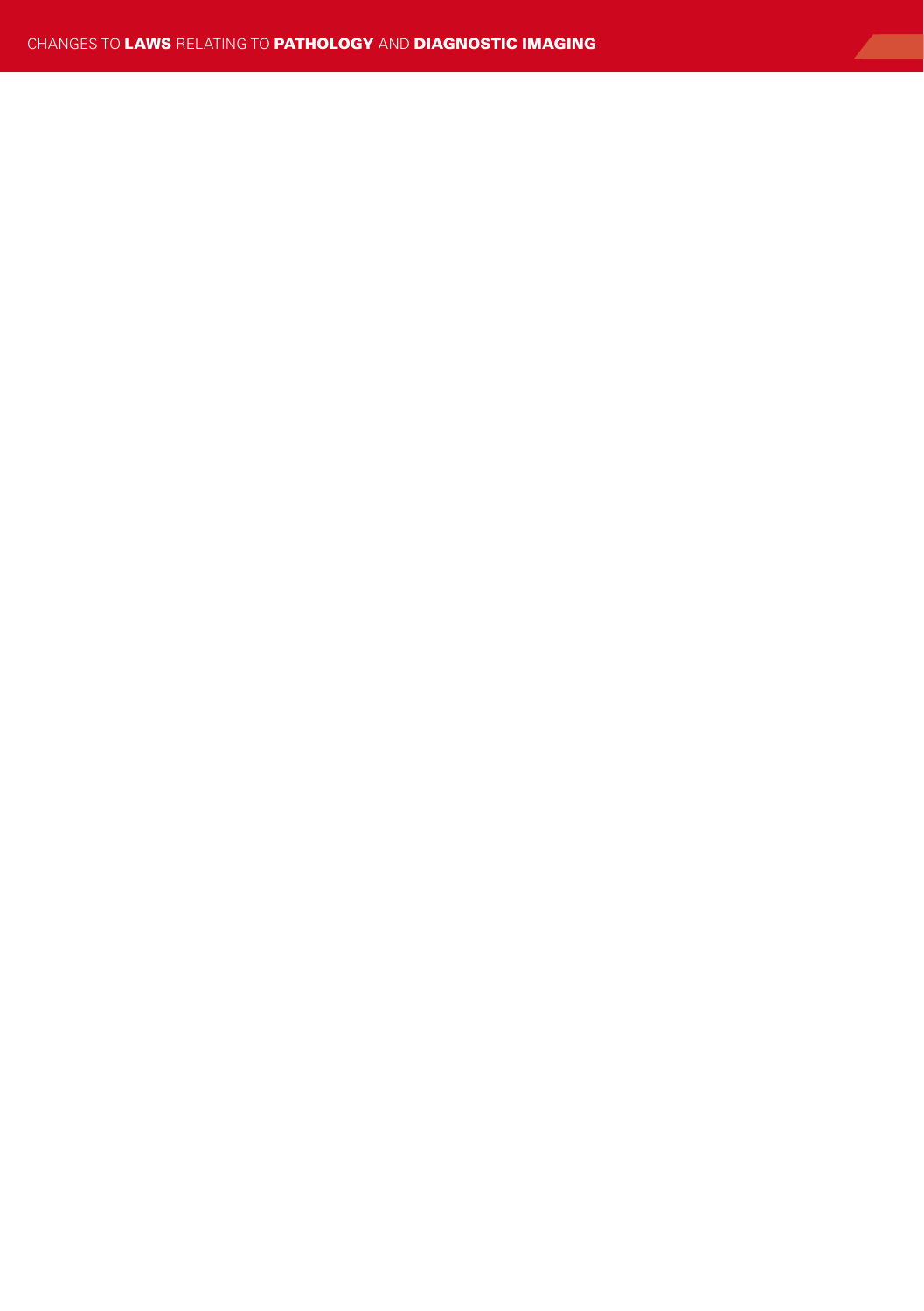**All Street**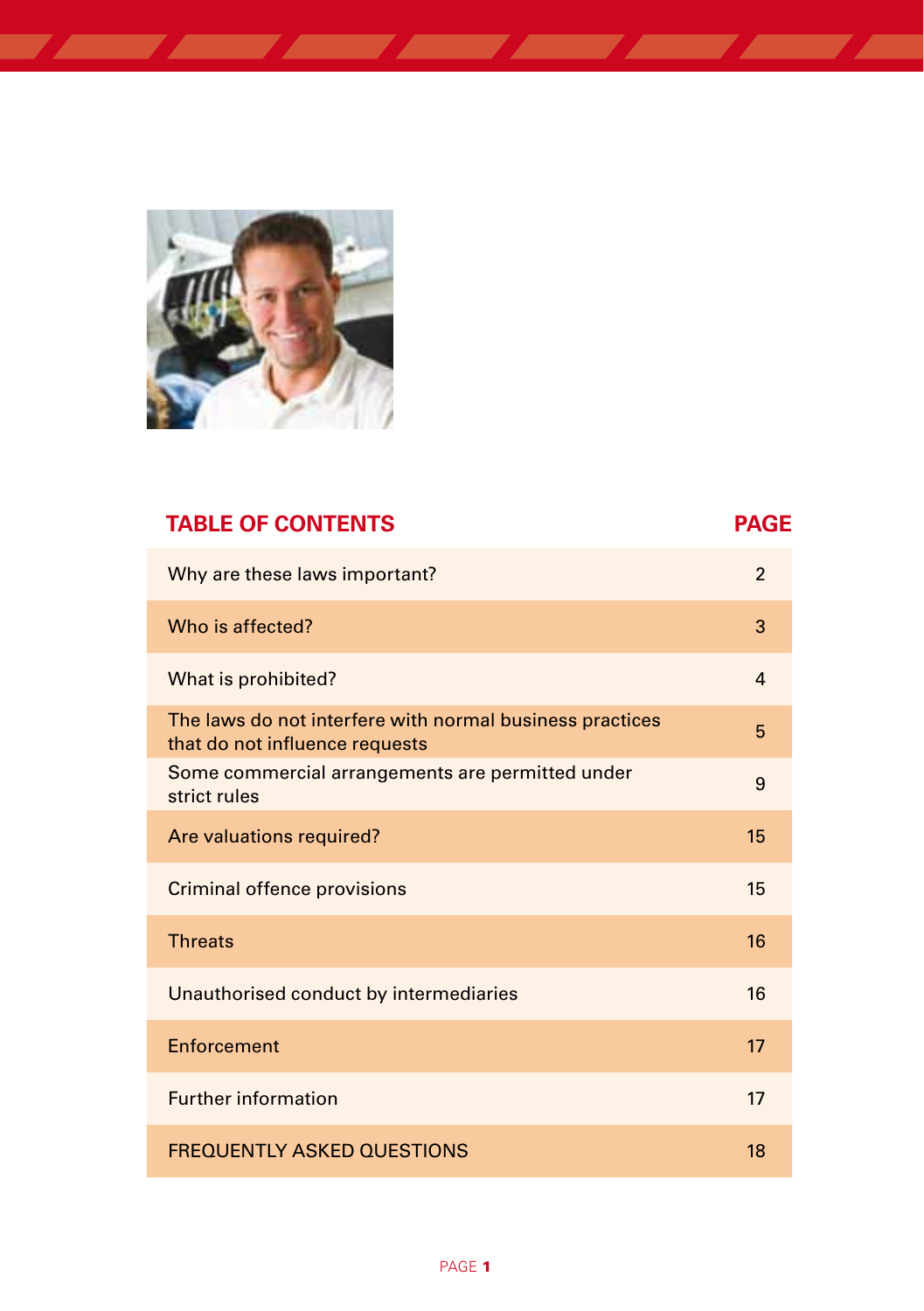

## **TABLE OF CONTENTS PAGE**

| Why are these laws important?                                                              | $\overline{2}$             |
|--------------------------------------------------------------------------------------------|----------------------------|
| Who is affected?                                                                           | 3                          |
| What is prohibited?                                                                        | $\boldsymbol{\mathcal{L}}$ |
| The laws do not interfere with normal business practices<br>that do not influence requests | 5                          |
| Some commercial arrangements are permitted under<br>strict rules                           | 9                          |
| Are valuations required?                                                                   | 15                         |
| Criminal offence provisions                                                                | 15                         |
| <b>Threats</b>                                                                             | 16                         |
| Unauthorised conduct by intermediaries                                                     | 16                         |
| Enforcement                                                                                | 17                         |
| <b>Further information</b>                                                                 | 17                         |
| <b>FREQUENTLY ASKED QUESTIONS</b>                                                          | 18                         |

<u>a shekara ta 1989, a shekara ta 1989, a shekara ta 1989, a shekara ta 1989, a shekara ta 1989, a shekara ta 19</u>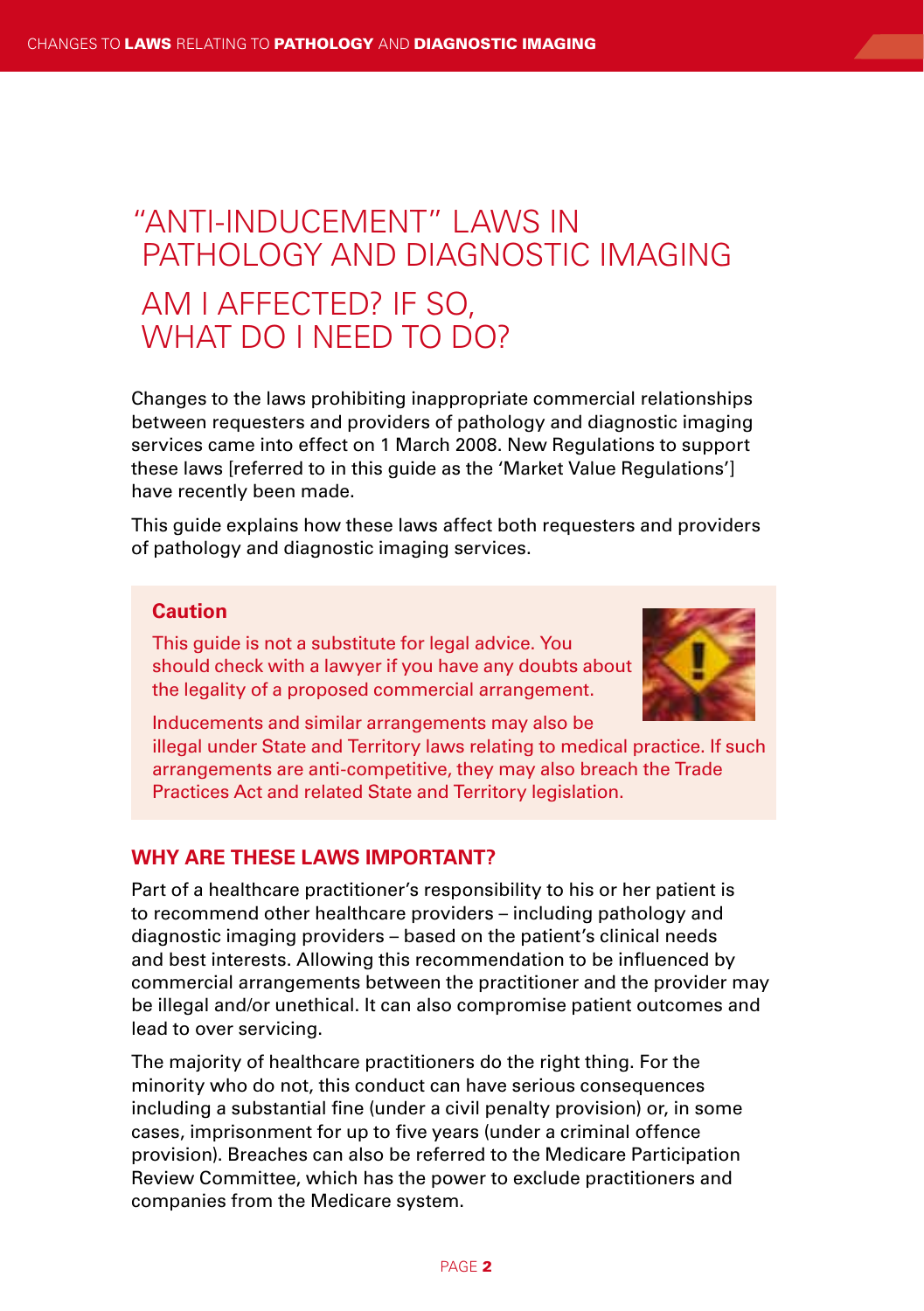## "ANTI-INDUCEMENT" LAWS IN PATHOLOGY AND DIAGNOSTIC IMAGING AM I AFFECTED? IF SO, WHAT DO I NEED TO DO?

Changes to the laws prohibiting inappropriate commercial relationships between requesters and providers of pathology and diagnostic imaging services came into effect on 1 March 2008. New Regulations to support these laws [referred to in this guide as the 'Market Value Regulations'] have recently been made.

This guide explains how these laws affect both requesters and providers of pathology and diagnostic imaging services.

## **Caution**

This guide is not a substitute for legal advice. You should check with a lawyer if you have any doubts about the legality of a proposed commercial arrangement.



Inducements and similar arrangements may also be illegal under State and Territory laws relating to medical practice. If such arrangements are anti-competitive, they may also breach the Trade Practices Act and related State and Territory legislation.

### **Why are these laws important?**

Part of a healthcare practitioner's responsibility to his or her patient is to recommend other healthcare providers – including pathology and diagnostic imaging providers – based on the patient's clinical needs and best interests. Allowing this recommendation to be influenced by commercial arrangements between the practitioner and the provider may be illegal and/or unethical. It can also compromise patient outcomes and lead to over servicing.

The majority of healthcare practitioners do the right thing. For the minority who do not, this conduct can have serious consequences including a substantial fine (under a civil penalty provision) or, in some cases, imprisonment for up to five years (under a criminal offence provision). Breaches can also be referred to the Medicare Participation Review Committee, which has the power to exclude practitioners and companies from the Medicare system.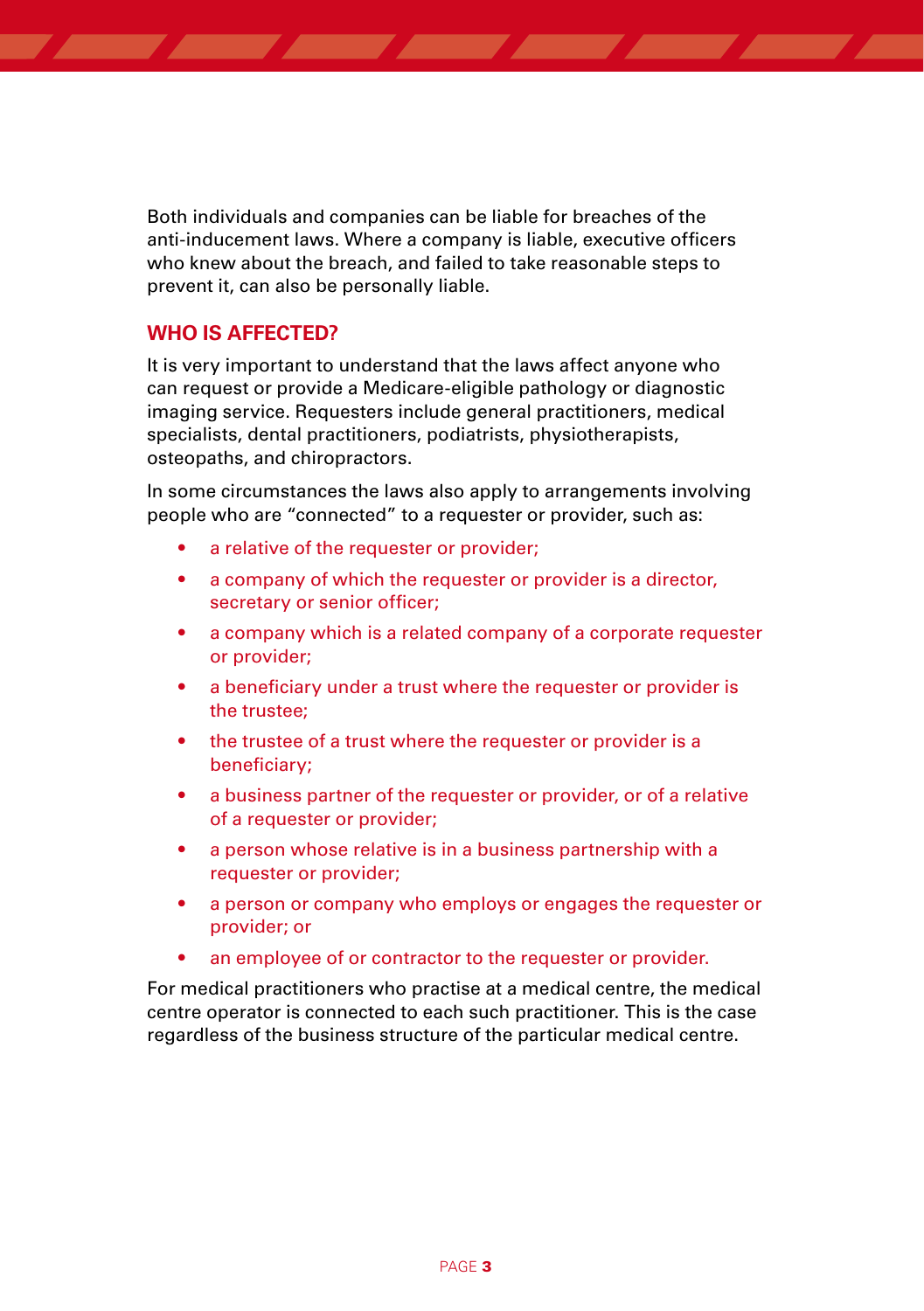Both individuals and companies can be liable for breaches of the anti-inducement laws. Where a company is liable, executive officers who knew about the breach, and failed to take reasonable steps to prevent it, can also be personally liable.

<u> Andrew Maria de la contrada de la contrada de la contrada de la contrada de la contrada de la contrada de la</u>

### WHO IS AFFFCTFD?

It is very important to understand that the laws affect anyone who can request or provide a Medicare-eligible pathology or diagnostic imaging service. Requesters include general practitioners, medical specialists, dental practitioners, podiatrists, physiotherapists, osteopaths, and chiropractors.

In some circumstances the laws also apply to arrangements involving people who are "connected" to a requester or provider, such as:

- a relative of the requester or provider;
- a company of which the requester or provider is a director, secretary or senior officer;
- a company which is a related company of a corporate requester or provider;
- a beneficiary under a trust where the requester or provider is the trustee;
- the trustee of a trust where the requester or provider is a beneficiary;
- a business partner of the requester or provider, or of a relative of a requester or provider;
- a person whose relative is in a business partnership with a requester or provider;
- a person or company who employs or engages the requester or provider; or
- an employee of or contractor to the requester or provider.

For medical practitioners who practise at a medical centre, the medical centre operator is connected to each such practitioner. This is the case regardless of the business structure of the particular medical centre.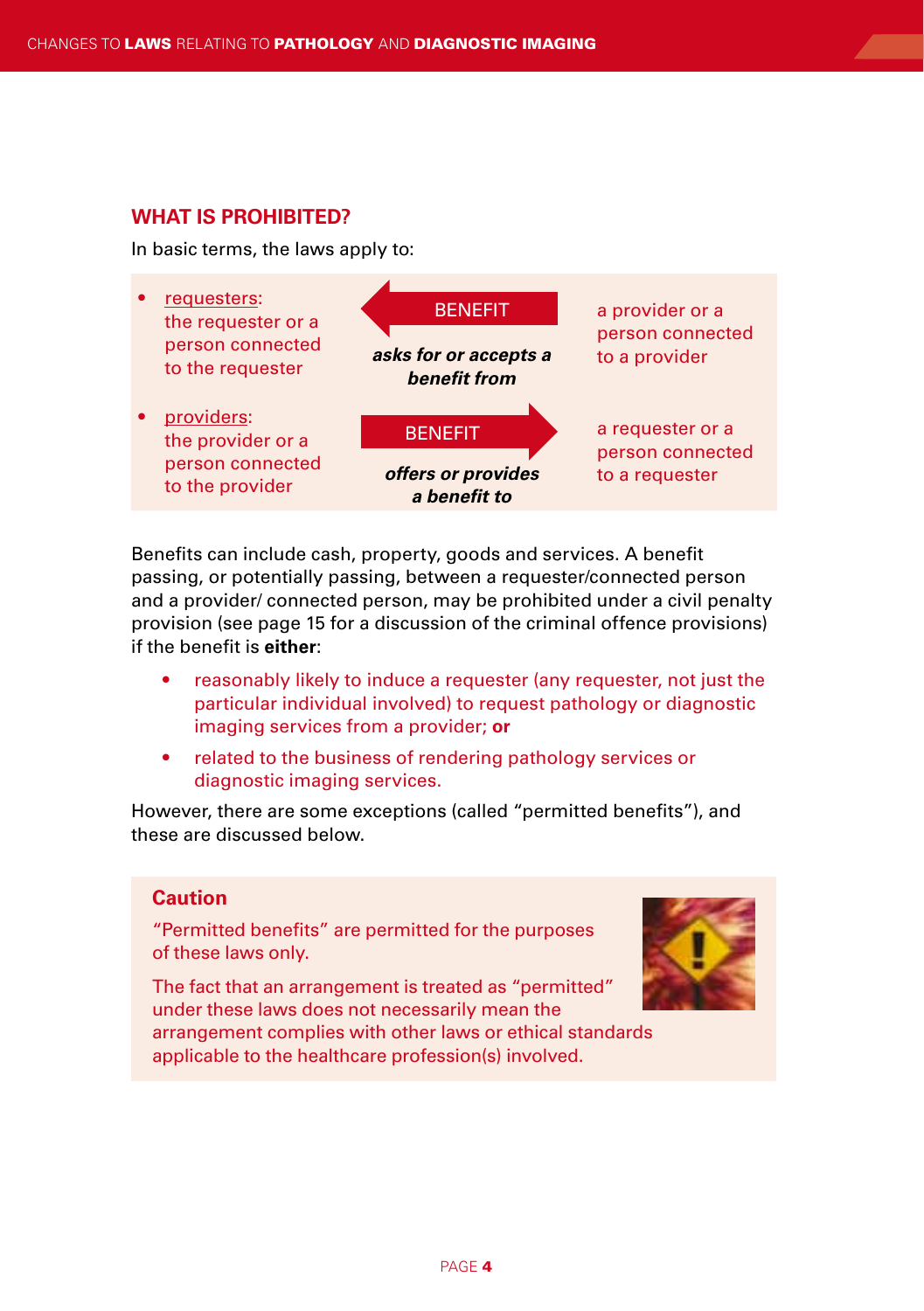### **What is prohibited?**

In basic terms, the laws apply to:



Benefits can include cash, property, goods and services. A benefit passing, or potentially passing, between a requester/connected person and a provider/ connected person, may be prohibited under a civil penalty provision (see page 15 for a discussion of the criminal offence provisions) if the benefit is **either**:

- reasonably likely to induce a requester (any requester, not just the particular individual involved) to request pathology or diagnostic imaging services from a provider; **or**
- related to the business of rendering pathology services or diagnostic imaging services.

However, there are some exceptions (called "permitted benefits"), and these are discussed below.

#### **Caution**

"Permitted benefits" are permitted for the purposes of these laws only.

The fact that an arrangement is treated as "permitted" under these laws does not necessarily mean the arrangement complies with other laws or ethical standards applicable to the healthcare profession(s) involved.

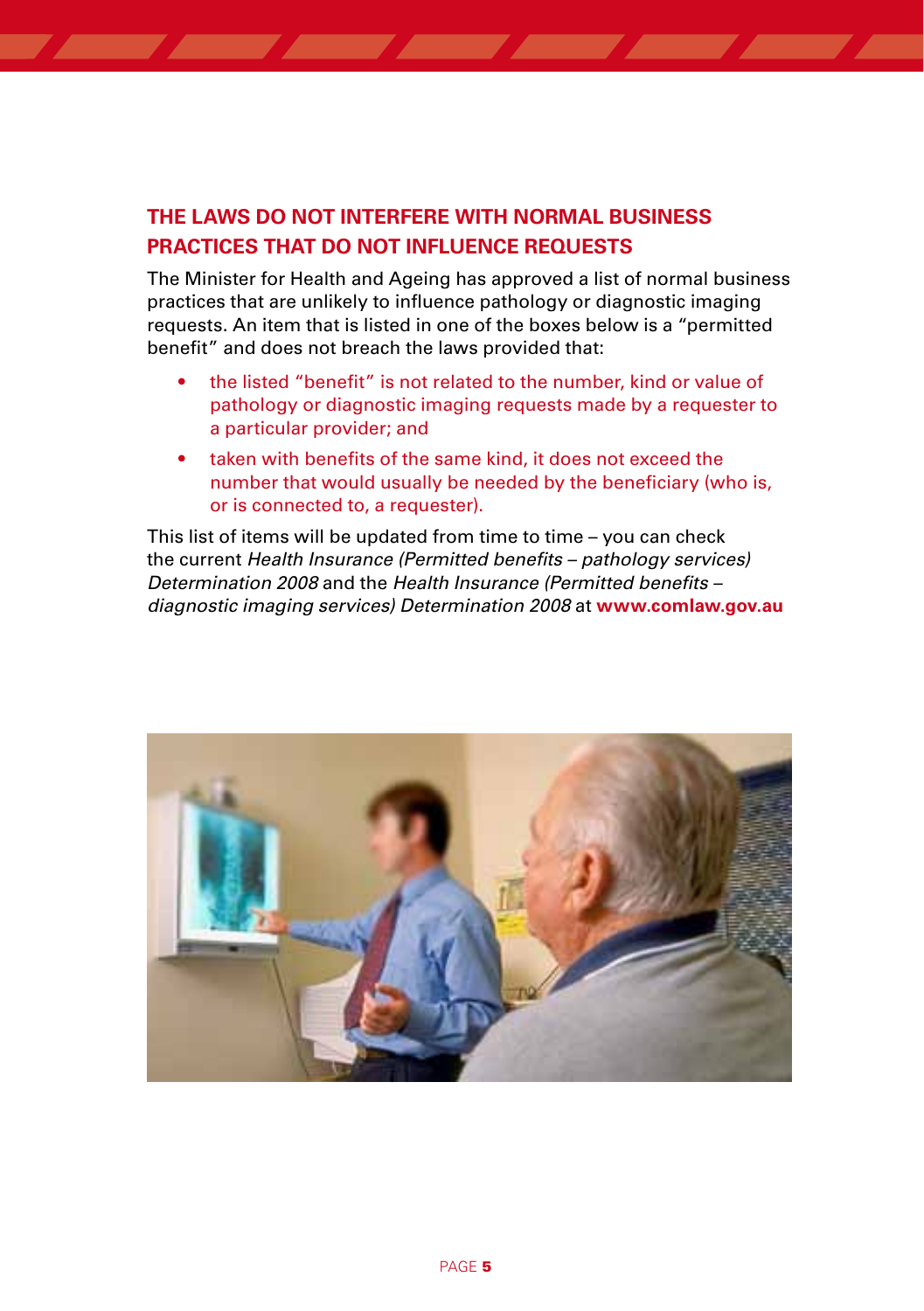## **The laws do not interfere with normal business practices that do not influence requests**

The Minister for Health and Ageing has approved a list of normal business practices that are unlikely to influence pathology or diagnostic imaging requests. An item that is listed in one of the boxes below is a "permitted benefit" and does not breach the laws provided that:

<u> André de la contrada de la contrada de la contrada de la contrada de la contrada de la contrada de la contrad</u>

- the listed "benefit" is not related to the number, kind or value of pathology or diagnostic imaging requests made by a requester to a particular provider; and
- taken with benefits of the same kind, it does not exceed the number that would usually be needed by the beneficiary (who is, or is connected to, a requester).

This list of items will be updated from time to time – you can check the current *Health Insurance (Permitted benefits – pathology services) Determination 2008* and the *Health Insurance (Permitted benefits – diagnostic imaging services) Determination 2008* at **www.comlaw.gov.au**

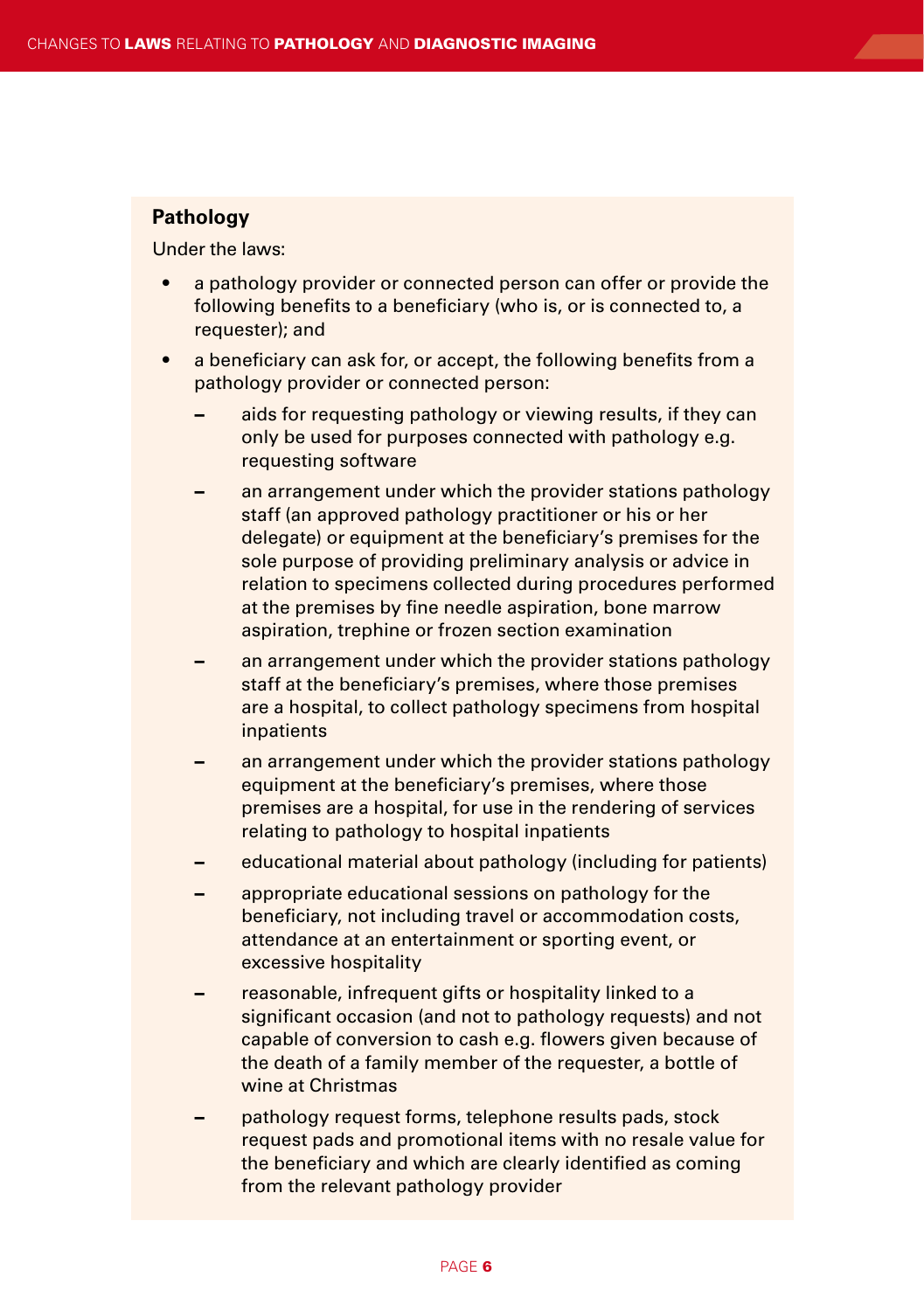#### **Pathology**

Under the laws:

- a pathology provider or connected person can offer or provide the following benefits to a beneficiary (who is, or is connected to, a requester); and
- a beneficiary can ask for, or accept, the following benefits from a pathology provider or connected person:
	- **−** aids for requesting pathology or viewing results, if they can only be used for purposes connected with pathology e.g. requesting software
	- an arrangement under which the provider stations pathology staff (an approved pathology practitioner or his or her delegate) or equipment at the beneficiary's premises for the sole purpose of providing preliminary analysis or advice in relation to specimens collected during procedures performed at the premises by fine needle aspiration, bone marrow aspiration, trephine or frozen section examination
	- **−** an arrangement under which the provider stations pathology staff at the beneficiary's premises, where those premises are a hospital, to collect pathology specimens from hospital inpatients
	- an arrangement under which the provider stations pathology equipment at the beneficiary's premises, where those premises are a hospital, for use in the rendering of services relating to pathology to hospital inpatients
	- **−** educational material about pathology (including for patients)
	- **−** appropriate educational sessions on pathology for the beneficiary, not including travel or accommodation costs, attendance at an entertainment or sporting event, or excessive hospitality
	- **−** reasonable, infrequent gifts or hospitality linked to a significant occasion (and not to pathology requests) and not capable of conversion to cash e.g. flowers given because of the death of a family member of the requester, a bottle of wine at Christmas
	- **−** pathology request forms, telephone results pads, stock request pads and promotional items with no resale value for the beneficiary and which are clearly identified as coming from the relevant pathology provider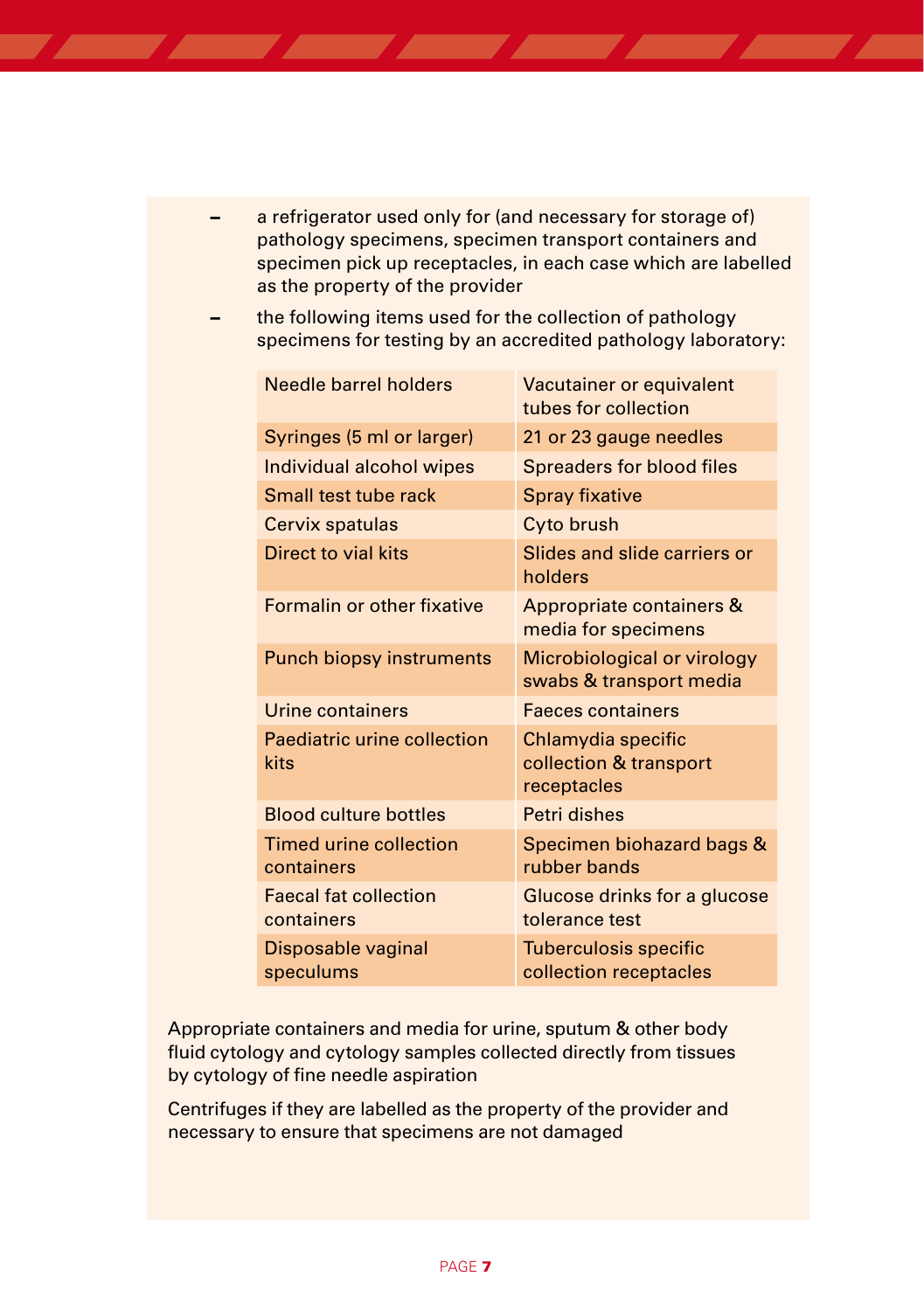**−** a refrigerator used only for (and necessary for storage of) pathology specimens, specimen transport containers and specimen pick up receptacles, in each case which are labelled as the property of the provider

<u>and the state of the state of the state of the state of the state of the state of the state of the state of the state of the state of the state of the state of the state of the state of the state of the state of the state</u>

**−** the following items used for the collection of pathology specimens for testing by an accredited pathology laboratory:

| Needle barrel holders                      | Vacutainer or equivalent<br>tubes for collection            |
|--------------------------------------------|-------------------------------------------------------------|
| Syringes (5 ml or larger)                  | 21 or 23 gauge needles                                      |
| Individual alcohol wipes                   | <b>Spreaders for blood files</b>                            |
| Small test tube rack                       | <b>Spray fixative</b>                                       |
| Cervix spatulas                            | Cyto brush                                                  |
| Direct to vial kits                        | Slides and slide carriers or<br>holders                     |
| <b>Formalin or other fixative</b>          | Appropriate containers &<br>media for specimens             |
| <b>Punch biopsy instruments</b>            | Microbiological or virology<br>swabs & transport media      |
| Urine containers                           | <b>Faeces containers</b>                                    |
| Paediatric urine collection<br>kits        | Chlamydia specific<br>collection & transport<br>receptacles |
| <b>Blood culture bottles</b>               | Petri dishes                                                |
| Timed urine collection<br>containers       | Specimen biohazard bags &<br>rubber bands                   |
| <b>Faecal fat collection</b><br>containers | Glucose drinks for a glucose<br>tolerance test              |
| Disposable vaginal<br>speculums            | <b>Tuberculosis specific</b><br>collection receptacles      |

Appropriate containers and media for urine, sputum & other body fluid cytology and cytology samples collected directly from tissues by cytology of fine needle aspiration

Centrifuges if they are labelled as the property of the provider and necessary to ensure that specimens are not damaged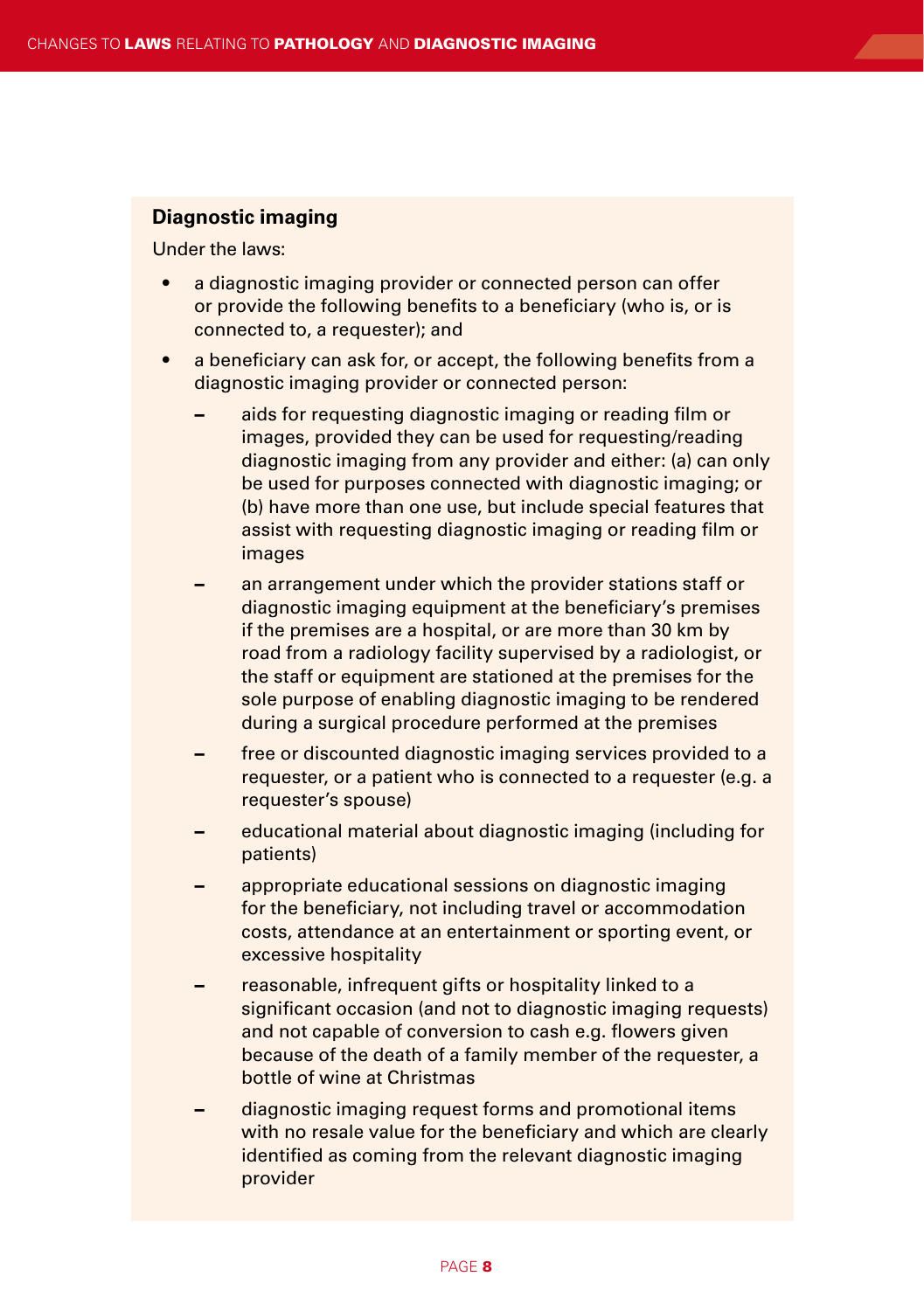#### **Diagnostic imaging**

Under the laws:

- a diagnostic imaging provider or connected person can offer or provide the following benefits to a beneficiary (who is, or is connected to, a requester); and
- a beneficiary can ask for, or accept, the following benefits from a diagnostic imaging provider or connected person:
	- **−** aids for requesting diagnostic imaging or reading film or images, provided they can be used for requesting/reading diagnostic imaging from any provider and either: (a) can only be used for purposes connected with diagnostic imaging; or (b) have more than one use, but include special features that assist with requesting diagnostic imaging or reading film or images
	- **−** an arrangement under which the provider stations staff or diagnostic imaging equipment at the beneficiary's premises if the premises are a hospital, or are more than 30 km by road from a radiology facility supervised by a radiologist, or the staff or equipment are stationed at the premises for the sole purpose of enabling diagnostic imaging to be rendered during a surgical procedure performed at the premises
	- free or discounted diagnostic imaging services provided to a requester, or a patient who is connected to a requester (e.g. a requester's spouse)
	- **−** educational material about diagnostic imaging (including for patients)
	- **−** appropriate educational sessions on diagnostic imaging for the beneficiary, not including travel or accommodation costs, attendance at an entertainment or sporting event, or excessive hospitality
	- **−** reasonable, infrequent gifts or hospitality linked to a significant occasion (and not to diagnostic imaging requests) and not capable of conversion to cash e.g. flowers given because of the death of a family member of the requester, a bottle of wine at Christmas
	- **−** diagnostic imaging request forms and promotional items with no resale value for the beneficiary and which are clearly identified as coming from the relevant diagnostic imaging provider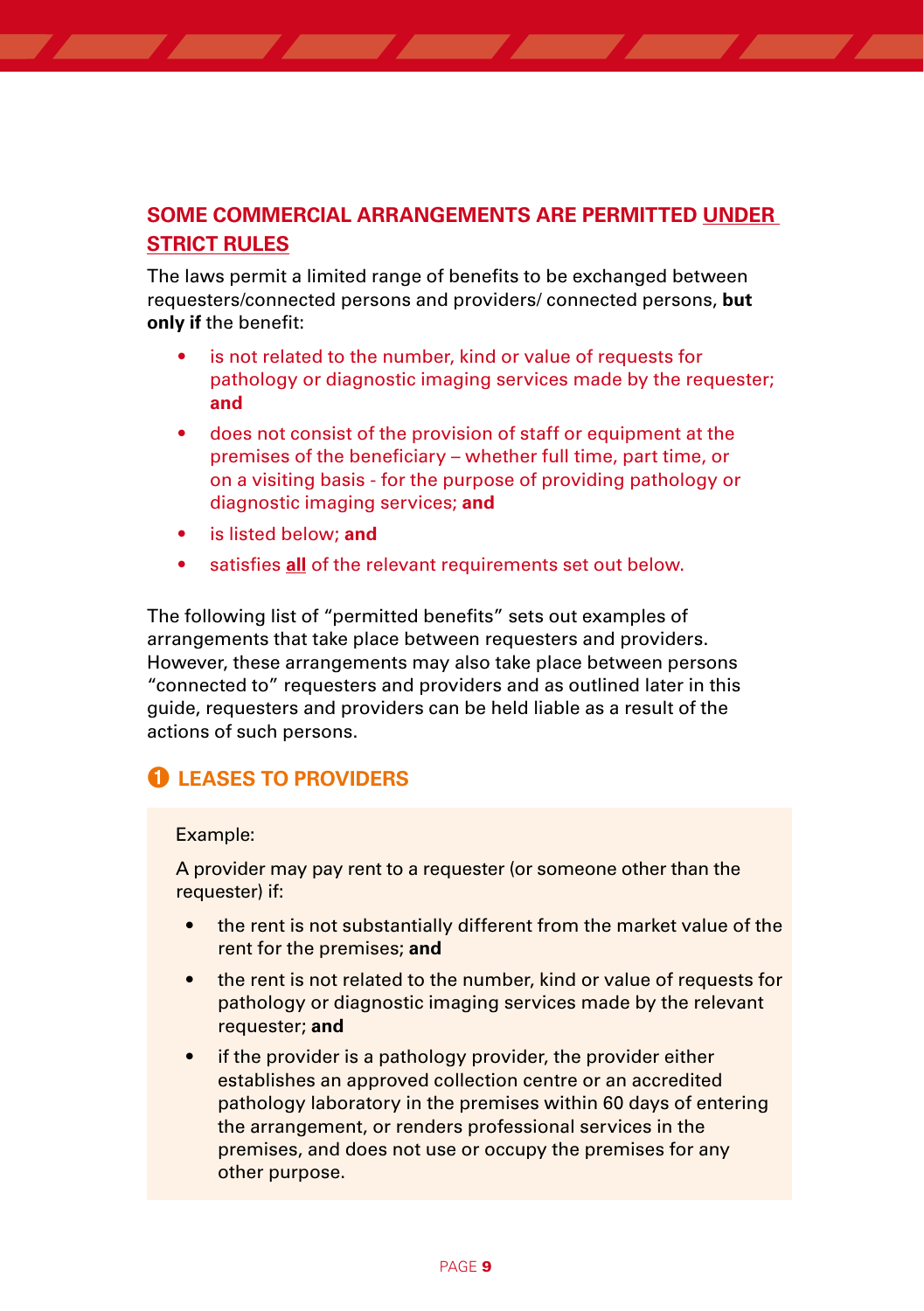## **Some commercial arrangements are permitted under strict rules**

<u>a shekara ta 1989, a shekara ta 1989, a shekara ta 1989, a shekara ta 1989, a shekara ta 1989, a shekara ta 19</u>

The laws permit a limited range of benefits to be exchanged between requesters/connected persons and providers/ connected persons, **but only if** the benefit:

- is not related to the number, kind or value of requests for pathology or diagnostic imaging services made by the requester; **and**
- does not consist of the provision of staff or equipment at the premises of the beneficiary – whether full time, part time, or on a visiting basis - for the purpose of providing pathology or diagnostic imaging services; **and**
- • is listed below; **and**
- satisfies **all** of the relevant requirements set out below.

The following list of "permitted benefits" sets out examples of arrangements that take place between requesters and providers. However, these arrangements may also take place between persons "connected to" requesters and providers and as outlined later in this guide, requesters and providers can be held liable as a result of the actions of such persons.

## ➊ **Leases to providers**

#### Example:

A provider may pay rent to a requester (or someone other than the requester) if:

- the rent is not substantially different from the market value of the rent for the premises; **and**
- the rent is not related to the number, kind or value of requests for pathology or diagnostic imaging services made by the relevant requester; **and**
- if the provider is a pathology provider, the provider either establishes an approved collection centre or an accredited pathology laboratory in the premises within 60 days of entering the arrangement, or renders professional services in the premises, and does not use or occupy the premises for any other purpose.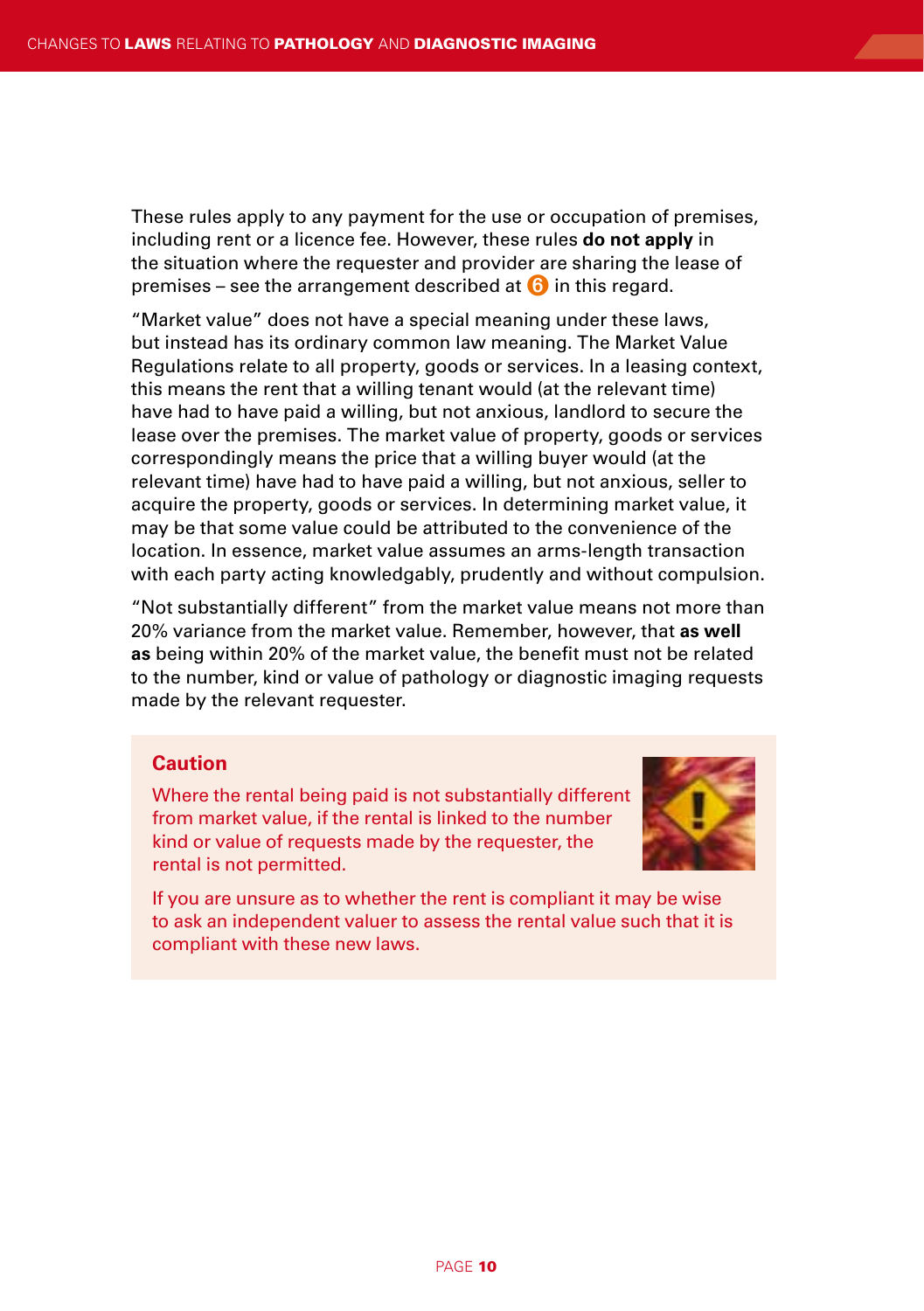These rules apply to any payment for the use or occupation of premises, including rent or a licence fee. However, these rules **do not apply** in the situation where the requester and provider are sharing the lease of premises – see the arrangement described at  $\bigodot$  in this regard.

"Market value" does not have a special meaning under these laws, but instead has its ordinary common law meaning. The Market Value Regulations relate to all property, goods or services. In a leasing context, this means the rent that a willing tenant would (at the relevant time) have had to have paid a willing, but not anxious, landlord to secure the lease over the premises. The market value of property, goods or services correspondingly means the price that a willing buyer would (at the relevant time) have had to have paid a willing, but not anxious, seller to acquire the property, goods or services. In determining market value, it may be that some value could be attributed to the convenience of the location. In essence, market value assumes an arms-length transaction with each party acting knowledgably, prudently and without compulsion.

"Not substantially different" from the market value means not more than 20% variance from the market value. Remember, however, that **as well as** being within 20% of the market value, the benefit must not be related to the number, kind or value of pathology or diagnostic imaging requests made by the relevant requester.

#### **Caution**

Where the rental being paid is not substantially different from market value, if the rental is linked to the number kind or value of requests made by the requester, the rental is not permitted.



If you are unsure as to whether the rent is compliant it may be wise to ask an independent valuer to assess the rental value such that it is compliant with these new laws.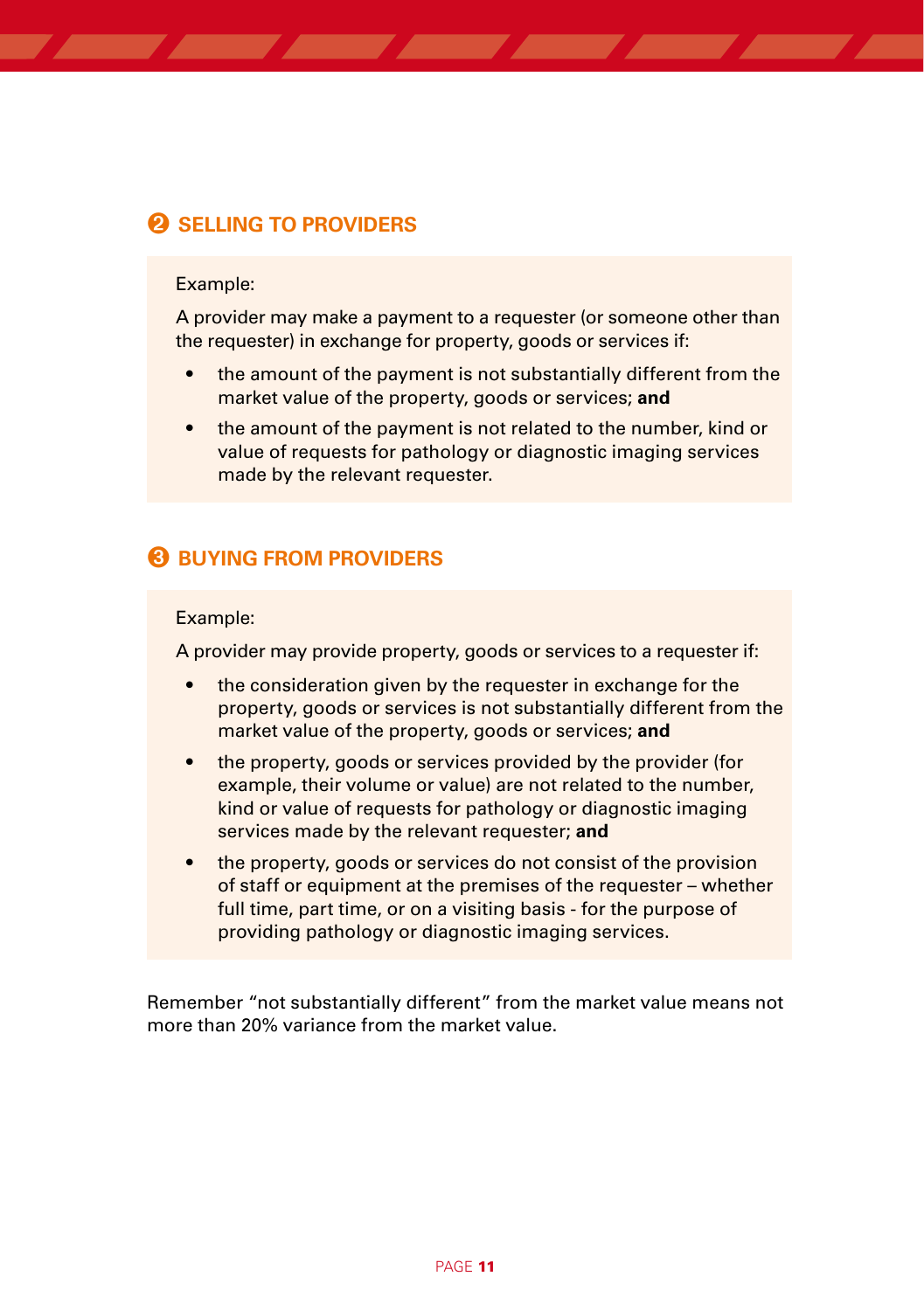## ➋ **Selling to providers**

#### Example:

A provider may make a payment to a requester (or someone other than the requester) in exchange for property, goods or services if:

<u> André de la contrada de la contrada de la contrada de la contrada de la contrada de la contrada de la contrad</u>

- the amount of the payment is not substantially different from the market value of the property, goods or services; **and**
- the amount of the payment is not related to the number, kind or value of requests for pathology or diagnostic imaging services made by the relevant requester.

## ➌ **Buying from providers**

#### Example:

A provider may provide property, goods or services to a requester if:

- the consideration given by the requester in exchange for the property, goods or services is not substantially different from the market value of the property, goods or services; **and**
- the property, goods or services provided by the provider (for example, their volume or value) are not related to the number, kind or value of requests for pathology or diagnostic imaging services made by the relevant requester; **and**
- the property, goods or services do not consist of the provision of staff or equipment at the premises of the requester – whether full time, part time, or on a visiting basis - for the purpose of providing pathology or diagnostic imaging services.

Remember "not substantially different" from the market value means not more than 20% variance from the market value.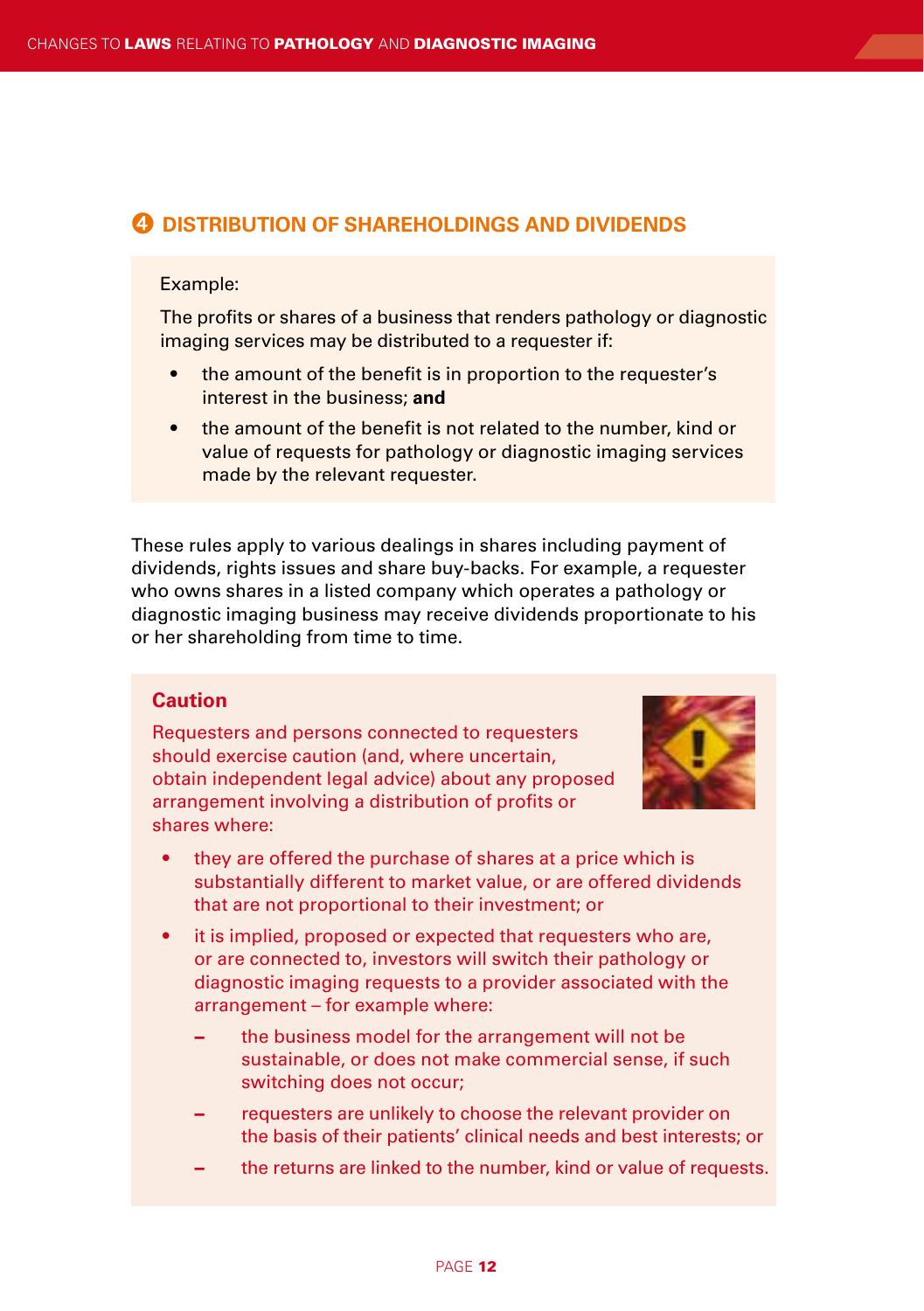## ➍ **Distribution of Shareholdings and dividends**

#### Example:

The profits or shares of a business that renders pathology or diagnostic imaging services may be distributed to a requester if:

- the amount of the benefit is in proportion to the requester's interest in the business; **and**
- the amount of the benefit is not related to the number, kind or value of requests for pathology or diagnostic imaging services made by the relevant requester.

These rules apply to various dealings in shares including payment of dividends, rights issues and share buy-backs. For example, a requester who owns shares in a listed company which operates a pathology or diagnostic imaging business may receive dividends proportionate to his or her shareholding from time to time.

## **Caution**

Requesters and persons connected to requesters should exercise caution (and, where uncertain, obtain independent legal advice) about any proposed arrangement involving a distribution of profits or shares where:



- they are offered the purchase of shares at a price which is substantially different to market value, or are offered dividends that are not proportional to their investment; or
- it is implied, proposed or expected that requesters who are, or are connected to, investors will switch their pathology or diagnostic imaging requests to a provider associated with the arrangement – for example where:
	- **−** the business model for the arrangement will not be sustainable, or does not make commercial sense, if such switching does not occur;
	- **−** requesters are unlikely to choose the relevant provider on the basis of their patients' clinical needs and best interests; or
	- **−** the returns are linked to the number, kind or value of requests.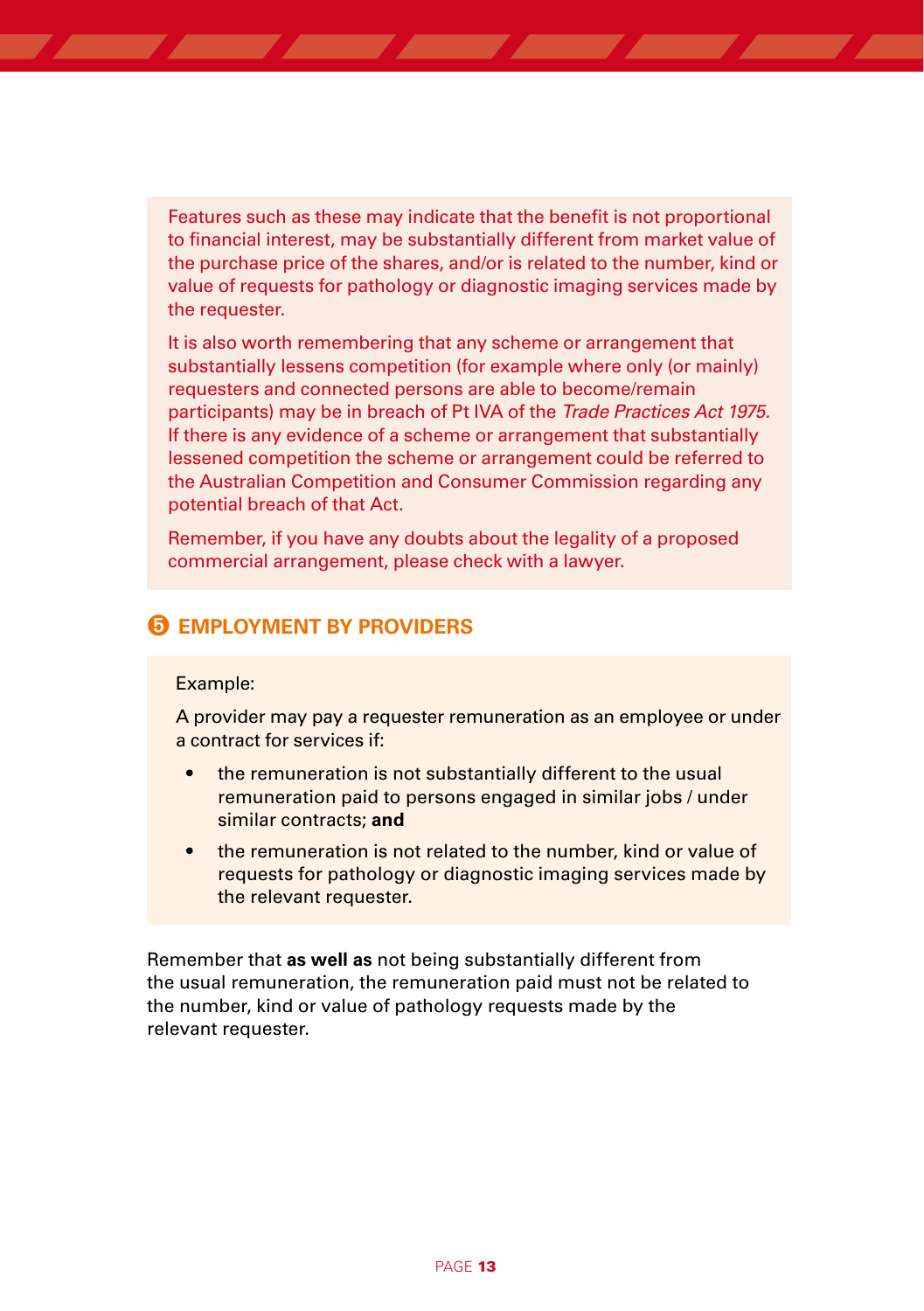Features such as these may indicate that the benefit is not proportional to financial interest, may be substantially different from market value of the purchase price of the shares, and/or is related to the number, kind or value of requests for pathology or diagnostic imaging services made by the requester.

<u>a shekara ta 1989, a shekara ta 1989, a shekara ta 1989, a shekara ta 1989, a shekara ta 1989, a shekara ta 19</u>

It is also worth remembering that any scheme or arrangement that substantially lessens competition (for example where only (or mainly) requesters and connected persons are able to become/remain participants) may be in breach of Pt IVA of the *Trade Practices Act 1975.* If there is any evidence of a scheme or arrangement that substantially lessened competition the scheme or arrangement could be referred to the Australian Competition and Consumer Commission regarding any potential breach of that Act.

Remember, if you have any doubts about the legality of a proposed commercial arrangement, please check with a lawyer.

## ➎ **Employment by providers**

#### Example:

A provider may pay a requester remuneration as an employee or under a contract for services if:

- the remuneration is not substantially different to the usual remuneration paid to persons engaged in similar jobs / under similar contracts; **and**
- the remuneration is not related to the number, kind or value of requests for pathology or diagnostic imaging services made by the relevant requester.

Remember that **as well as** not being substantially different from the usual remuneration, the remuneration paid must not be related to the number, kind or value of pathology requests made by the relevant requester.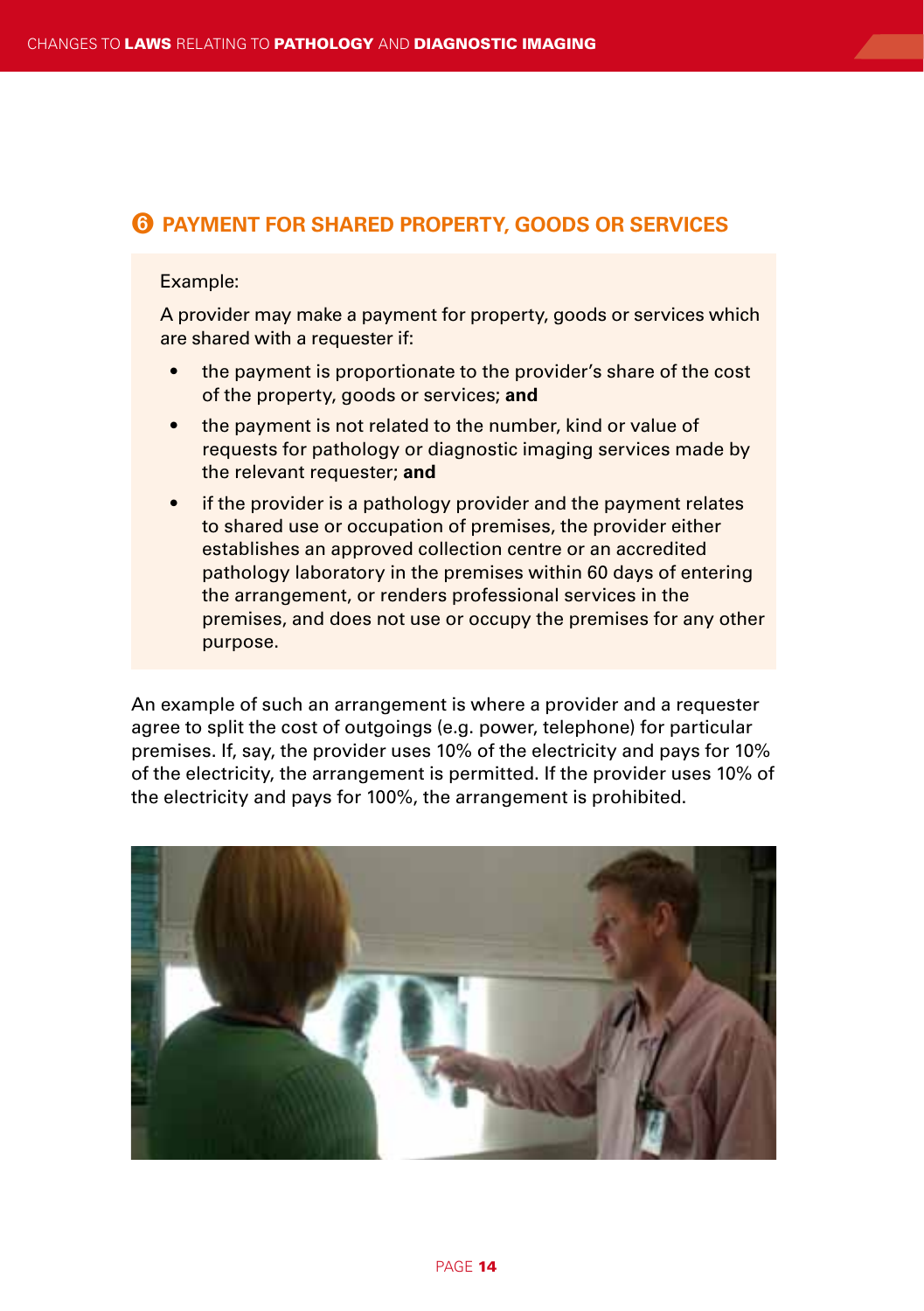## ➏ **Payment for shared property, goods or services**

#### Example:

A provider may make a payment for property, goods or services which are shared with a requester if:

- the payment is proportionate to the provider's share of the cost of the property, goods or services; **and**
- the payment is not related to the number, kind or value of requests for pathology or diagnostic imaging services made by the relevant requester; **and**
- if the provider is a pathology provider and the payment relates to shared use or occupation of premises, the provider either establishes an approved collection centre or an accredited pathology laboratory in the premises within 60 days of entering the arrangement, or renders professional services in the premises, and does not use or occupy the premises for any other purpose.

An example of such an arrangement is where a provider and a requester agree to split the cost of outgoings (e.g. power, telephone) for particular premises. If, say, the provider uses 10% of the electricity and pays for 10% of the electricity, the arrangement is permitted. If the provider uses 10% of the electricity and pays for 100%, the arrangement is prohibited.

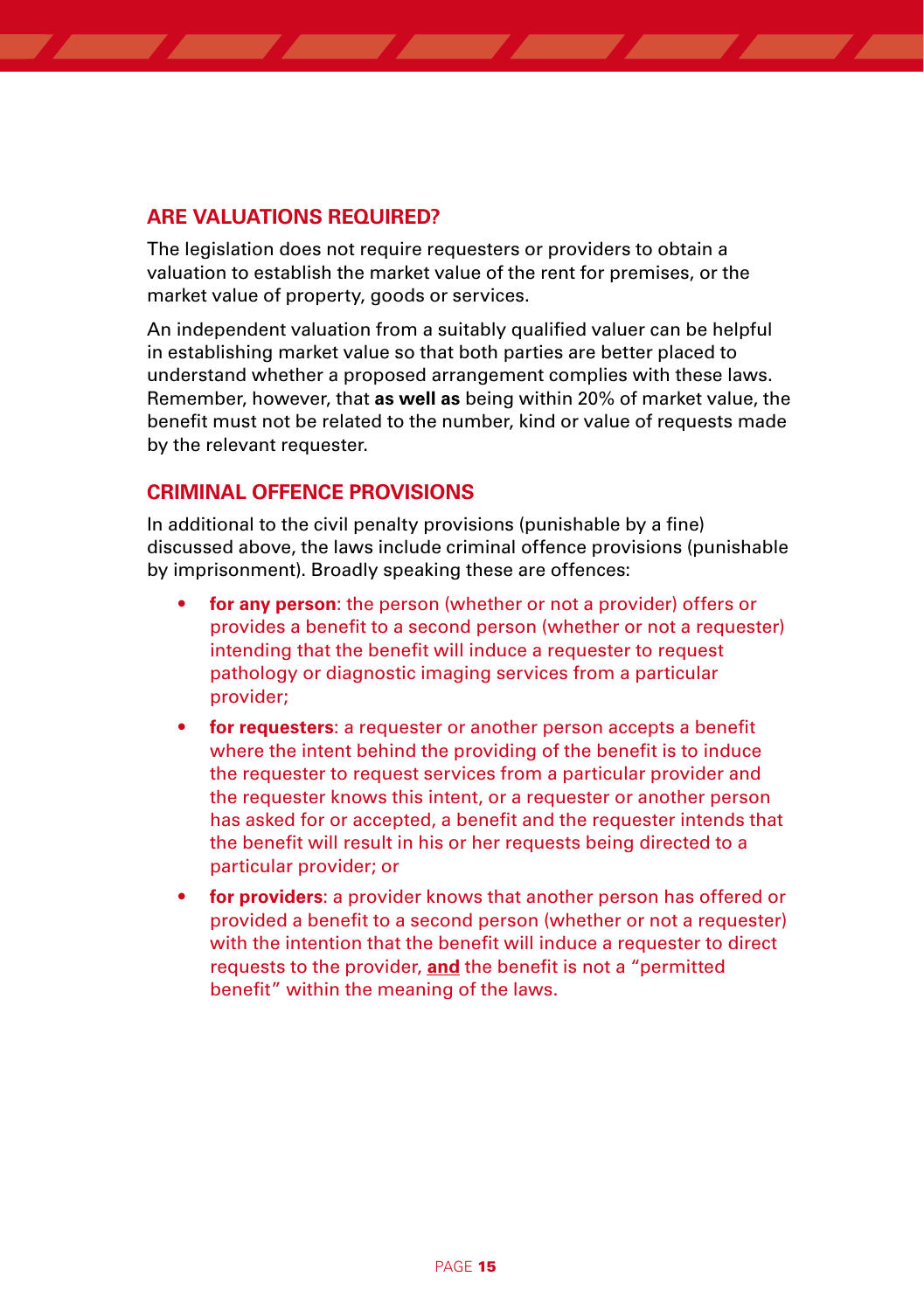## **Are valuations required?**

The legislation does not require requesters or providers to obtain a valuation to establish the market value of the rent for premises, or the market value of property, goods or services.

<u> Andrew Maria de la Carlo de la contrada de la contrada de la contrada de la contrada de la contrada de la con</u>

An independent valuation from a suitably qualified valuer can be helpful in establishing market value so that both parties are better placed to understand whether a proposed arrangement complies with these laws. Remember, however, that **as well as** being within 20% of market value, the benefit must not be related to the number, kind or value of requests made by the relevant requester.

## **Criminal offence provisions**

In additional to the civil penalty provisions (punishable by a fine) discussed above, the laws include criminal offence provisions (punishable by imprisonment). Broadly speaking these are offences:

- for any person: the person (whether or not a provider) offers or provides a benefit to a second person (whether or not a requester) intending that the benefit will induce a requester to request pathology or diagnostic imaging services from a particular provider;
- for requesters: a requester or another person accepts a benefit where the intent behind the providing of the benefit is to induce the requester to request services from a particular provider and the requester knows this intent, or a requester or another person has asked for or accepted, a benefit and the requester intends that the benefit will result in his or her requests being directed to a particular provider; or
- **for providers:** a provider knows that another person has offered or provided a benefit to a second person (whether or not a requester) with the intention that the benefit will induce a requester to direct requests to the provider, **and** the benefit is not a "permitted benefit" within the meaning of the laws.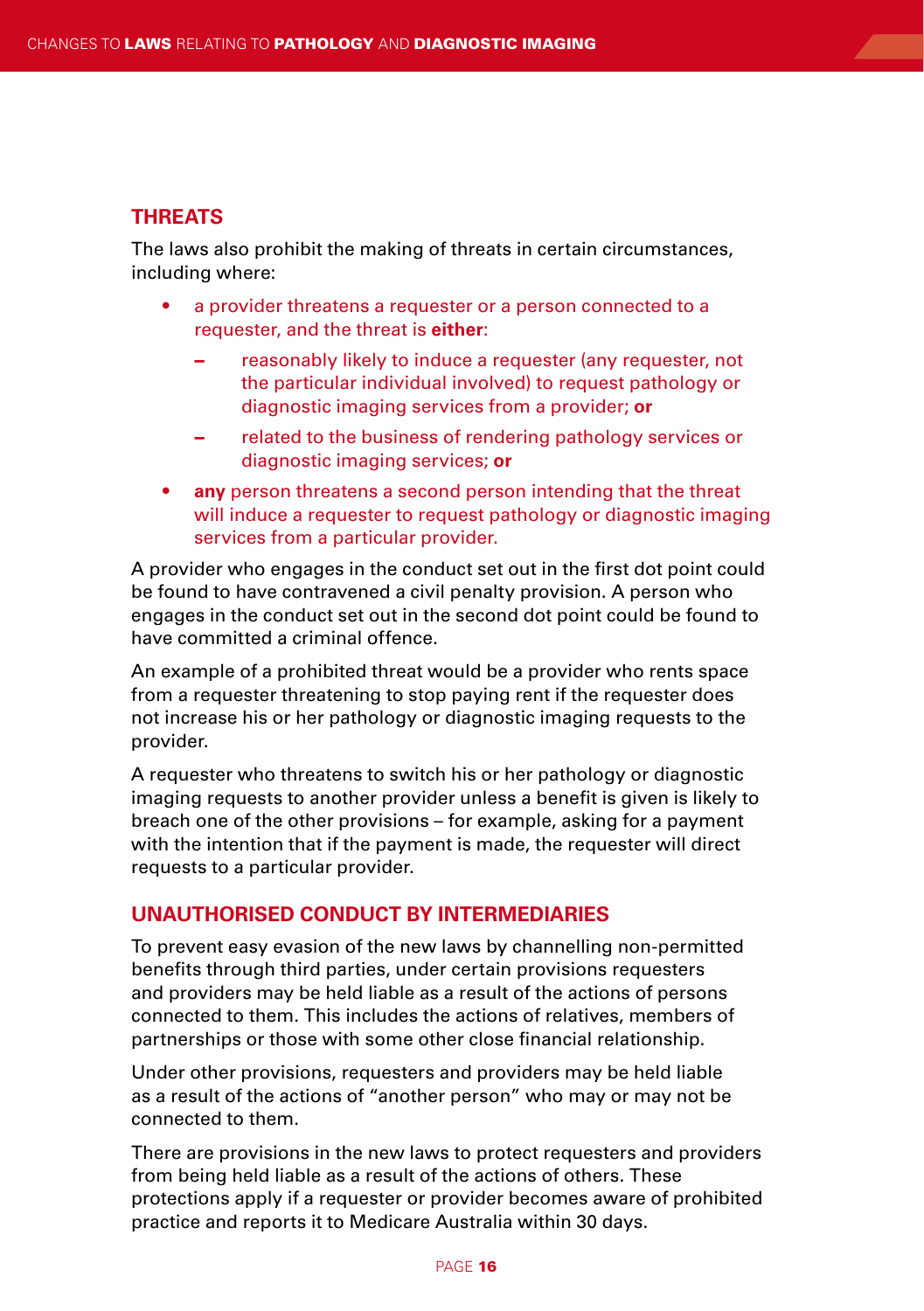#### **Threats**

The laws also prohibit the making of threats in certain circumstances, including where:

- a provider threatens a requester or a person connected to a requester, and the threat is **either**:
	- **−** reasonably likely to induce a requester (any requester, not the particular individual involved) to request pathology or diagnostic imaging services from a provider; **or**
	- **−** related to the business of rendering pathology services or diagnostic imaging services; **or**
- **any** person threatens a second person intending that the threat will induce a requester to request pathology or diagnostic imaging services from a particular provider.

A provider who engages in the conduct set out in the first dot point could be found to have contravened a civil penalty provision. A person who engages in the conduct set out in the second dot point could be found to have committed a criminal offence.

An example of a prohibited threat would be a provider who rents space from a requester threatening to stop paying rent if the requester does not increase his or her pathology or diagnostic imaging requests to the provider.

A requester who threatens to switch his or her pathology or diagnostic imaging requests to another provider unless a benefit is given is likely to breach one of the other provisions – for example, asking for a payment with the intention that if the payment is made, the requester will direct requests to a particular provider.

### **Unauthorised conduct by intermediaries**

To prevent easy evasion of the new laws by channelling non-permitted benefits through third parties, under certain provisions requesters and providers may be held liable as a result of the actions of persons connected to them. This includes the actions of relatives, members of partnerships or those with some other close financial relationship.

Under other provisions, requesters and providers may be held liable as a result of the actions of "another person" who may or may not be connected to them.

There are provisions in the new laws to protect requesters and providers from being held liable as a result of the actions of others. These protections apply if a requester or provider becomes aware of prohibited practice and reports it to Medicare Australia within 30 days.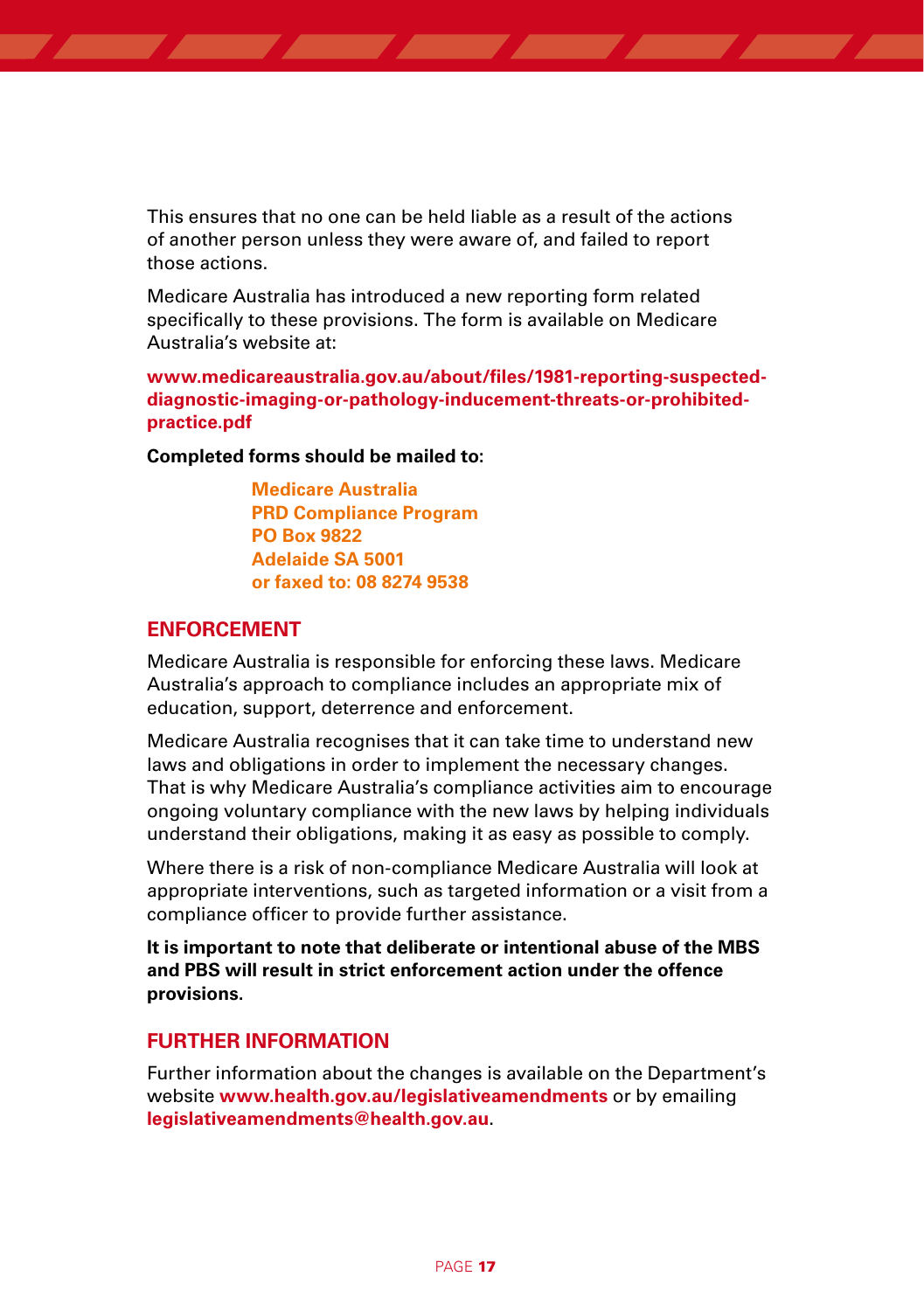This ensures that no one can be held liable as a result of the actions of another person unless they were aware of, and failed to report those actions.

<u> André de la contrada de la contrada de la contrada de la contrada de la contrada de la contrada de la contrad</u>

Medicare Australia has introduced a new reporting form related specifically to these provisions. The form is available on Medicare Australia's website at:

**www.medicareaustralia.gov.au/about/files/1981-reporting-suspecteddiagnostic-imaging-or-pathology-inducement-threats-or-prohibitedpractice.pdf**

**Completed forms should be mailed to:** 

**Medicare Australia PRD Compliance Program PO Box 9822 Adelaide SA 5001 or faxed to: 08 8274 9538** 

#### **Enforcement**

Medicare Australia is responsible for enforcing these laws. Medicare Australia's approach to compliance includes an appropriate mix of education, support, deterrence and enforcement.

Medicare Australia recognises that it can take time to understand new laws and obligations in order to implement the necessary changes. That is why Medicare Australia's compliance activities aim to encourage ongoing voluntary compliance with the new laws by helping individuals understand their obligations, making it as easy as possible to comply.

Where there is a risk of non-compliance Medicare Australia will look at appropriate interventions, such as targeted information or a visit from a compliance officer to provide further assistance.

**It is important to note that deliberate or intentional abuse of the MBS and PBS will result in strict enforcement action under the offence provisions.**

#### **Further information**

Further information about the changes is available on the Department's website **www.health.gov.au/legislativeamendments** or by emailing **legislativeamendments@health.gov.au**.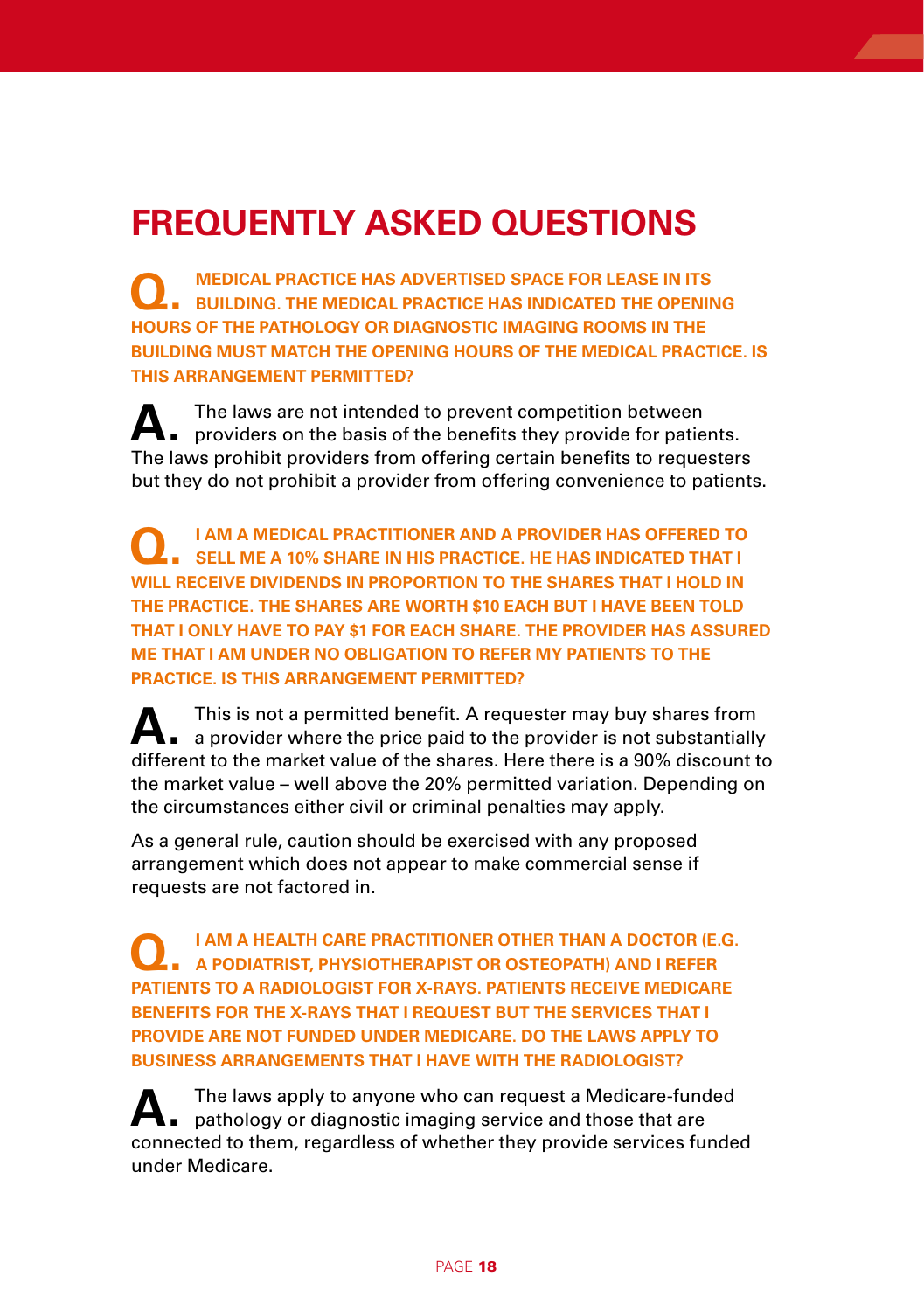# **Frequently asked questions**

**Q. medical practice has advertised space for lease in its building. The medical practice has indicated the opening hours of the pathology or diagnostic imaging rooms in the building must match the opening hours of the medical practice. Is this arrangement permitted?** 

The laws are not intended to prevent competition between providers on the basis of the benefits they provide for patients. The laws prohibit providers from offering certain benefits to requesters but they do not prohibit a provider from offering convenience to patients.

**I AM A MEDICAL PRACTITIONER AND A PROVIDER HAS OFFERED TO sell me a 10% share in his practice. He has indicated that I will receive dividends in proportion to the shares that I hold in the practice. The shares are worth \$10 each but I have been told that I only have to pay \$1 for each share. The provider has assured me that I am under no obligation to refer my patients to the practice. Is this arrangement permitted?** 

This is not a permitted benefit. A requester may buy shares from<br>a provider where the price paid to the provider is not substantially different to the market value of the shares. Here there is a 90% discount to the market value – well above the 20% permitted variation. Depending on the circumstances either civil or criminal penalties may apply.

As a general rule, caution should be exercised with any proposed arrangement which does not appear to make commercial sense if requests are not factored in.

**Q. I am a health care practitioner other than a doctor (e.g. a podiatrist, physiotherapist or osteopath) and I refer patients to a radiologist for x-rays. Patients receive Medicare benefits for the x-rays that I request but the services that I provide are not funded under Medicare. Do the laws apply to business arrangements that I have with the radiologist?** 

A. The laws apply to anyone who can request a Medicare-funded pathology or diagnostic imaging service and those that are connected to them, regardless of whether they provide services funded under Medicare.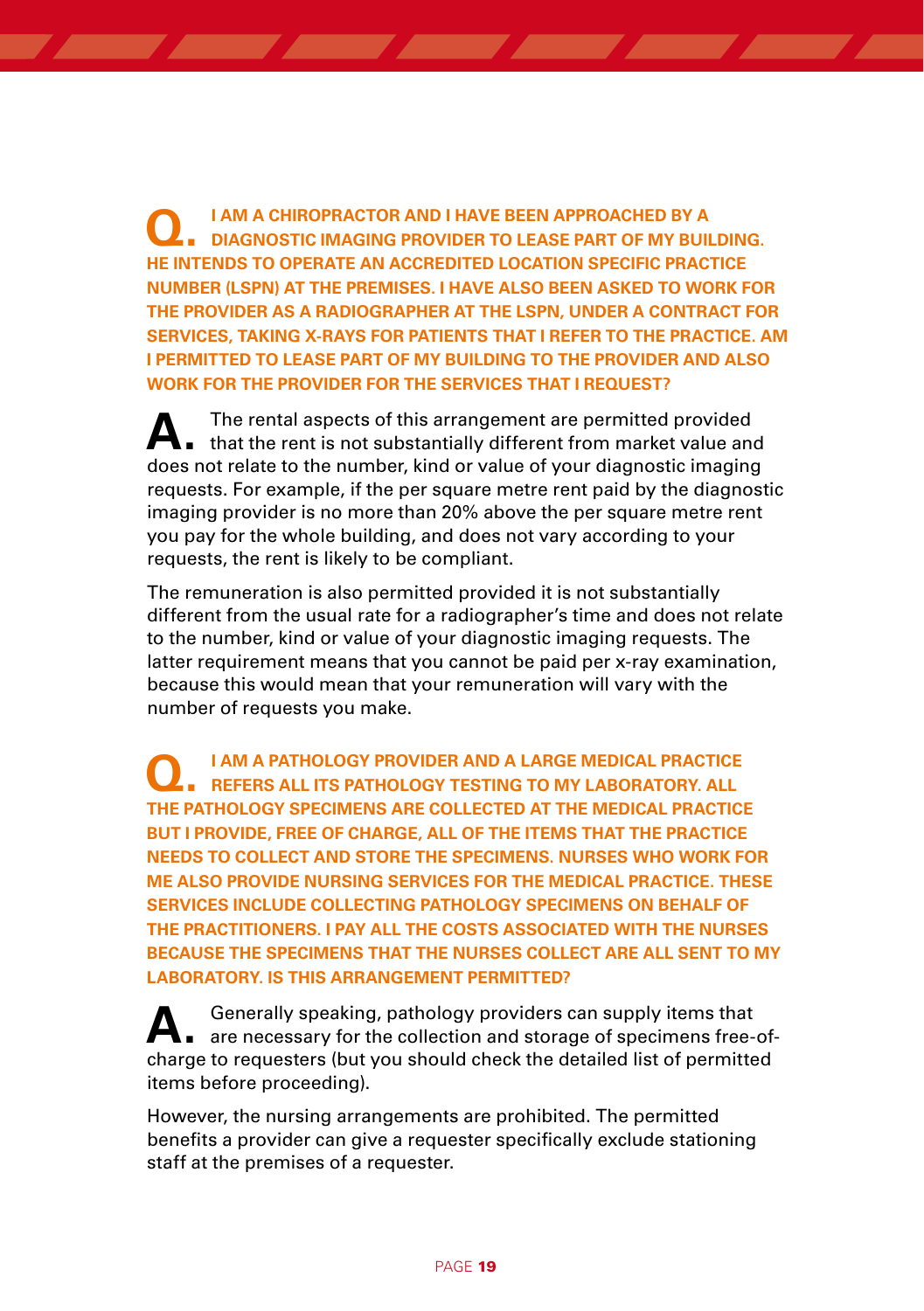**Q.** I AM A CHIROPRACTOR AND I HAVE BEEN APPROACHED BY A DIAGNOSTIC IMAGING PROVIDER TO LEASE PART OF MY BUILDING. **He intends to operate an accredited Location Specific Practice Number (LSPN) at the premises. I have also been asked to work for the provider as a radiographer at the LSPN, under a contract for services, taking x-rays for patients that I refer to the practice. Am I permitted to lease part of my building to the provider and also work for the provider for the services that I request?** 

<u>a shekara ta 1989, a shekara ta 1989, a shekara ta 1989, a shekara ta 1989, a shekara ta 1989, a shekara ta 19</u>

**A.** The rental aspects of this arrangement are permitted provided that the rent is not substantially different from market value and does not relate to the number, kind or value of your diagnostic imaging requests. For example, if the per square metre rent paid by the diagnostic imaging provider is no more than 20% above the per square metre rent you pay for the whole building, and does not vary according to your requests, the rent is likely to be compliant.

The remuneration is also permitted provided it is not substantially different from the usual rate for a radiographer's time and does not relate to the number, kind or value of your diagnostic imaging requests. The latter requirement means that you cannot be paid per x-ray examination, because this would mean that your remuneration will vary with the number of requests you make.

**Q. I am a pathology provider and a large medical practice refers all its pathology testing to my laboratory. All the pathology specimens are collected at the medical practice but I provide, free of charge, all of the items that the practice needs to collect and store the specimens. Nurses who work for me also provide nursing services for the medical practice. These services include collecting pathology specimens on behalf of the practitioners. I pay all the costs associated with the nurses because the specimens that the nurses collect are all sent to my laboratory. Is this arrangement permitted?** 

**A.** Generally speaking, pathology providers can supply items that are necessary for the collection and storage of specimens free-ofcharge to requesters (but you should check the detailed list of permitted items before proceeding).

However, the nursing arrangements are prohibited. The permitted benefits a provider can give a requester specifically exclude stationing staff at the premises of a requester.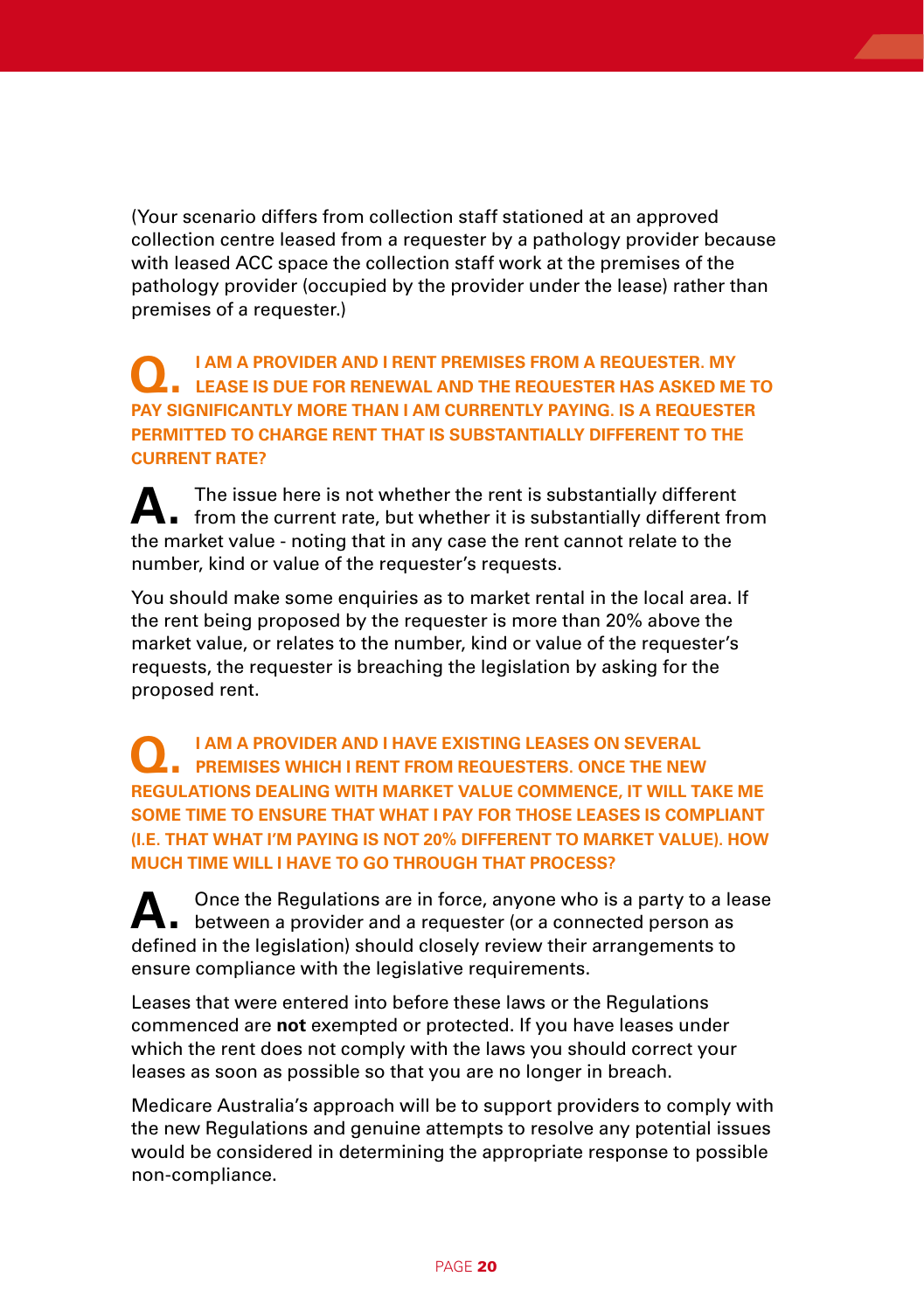(Your scenario differs from collection staff stationed at an approved collection centre leased from a requester by a pathology provider because with leased ACC space the collection staff work at the premises of the pathology provider (occupied by the provider under the lease) rather than premises of a requester.)

**Q. I am a provider and I rent premises from a requester. My lease is due for renewal and the requester has asked me to pay significantly more than I am currently paying. Is a requester permitted to charge rent that is substantially different to the current rate?** 

**A.** The issue here is not whether the rent is substantially different from the current rate, but whether it is substantially different from the market value - noting that in any case the rent cannot relate to the number, kind or value of the requester's requests.

You should make some enquiries as to market rental in the local area. If the rent being proposed by the requester is more than 20% above the market value, or relates to the number, kind or value of the requester's requests, the requester is breaching the legislation by asking for the proposed rent.

**Q. I am a provider and I have existing leases on several premises which I rent from requesters. Once the new Regulations dealing with Market Value commence, it will take me some time to ensure that what I pay for those leases is compliant (i.e. that what I'm paying is not 20% different to market value). How much time will I have to go through that process?** 

**A.** Once the Regulations are in force, anyone who is a party to a lease between a provider and a requester (or a connected person as defined in the legislation) should closely review their arrangements to ensure compliance with the legislative requirements.

Leases that were entered into before these laws or the Regulations commenced are **not** exempted or protected. If you have leases under which the rent does not comply with the laws you should correct your leases as soon as possible so that you are no longer in breach.

Medicare Australia's approach will be to support providers to comply with the new Regulations and genuine attempts to resolve any potential issues would be considered in determining the appropriate response to possible non-compliance.